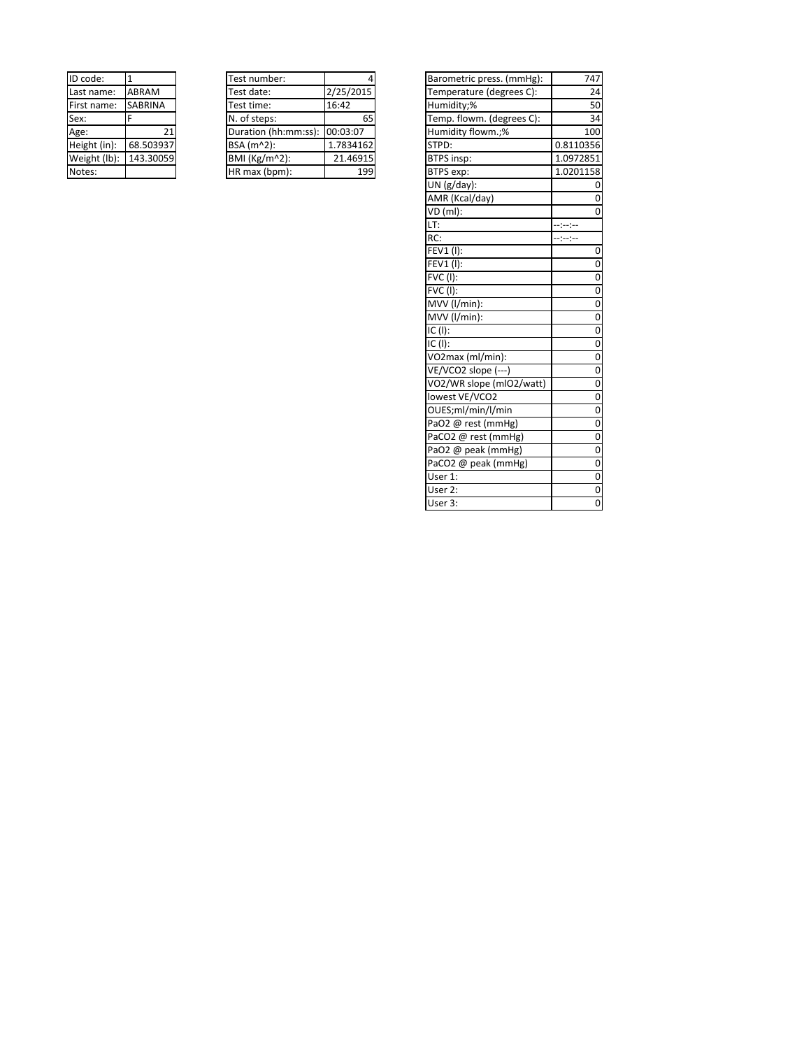| ID code:     | 1              |
|--------------|----------------|
| Last name:   | ABRAM          |
| First name:  | <b>SABRINA</b> |
| Sex:         | F              |
| Age:         | 21             |
| Height (in): | 68.503937      |
| Weight (lb): | 143.30059      |
| Notes:       |                |

| Test number:         |           |
|----------------------|-----------|
| Test date:           | 2/25/2015 |
| Test time:           | 16:42     |
| N. of steps:         | 65        |
| Duration (hh:mm:ss): | 00:03:07  |
| BSA (m^2):           | 1.7834162 |
| BMI (Kg/m^2):        | 21.46915  |
| HR max (bpm):        |           |

| ID code:     | $\mathbf{1}$   | Test number:         | 4         | Barometric press. (mmHg): | 747         |
|--------------|----------------|----------------------|-----------|---------------------------|-------------|
| Last name:   | ABRAM          | Test date:           | 2/25/2015 | Temperature (degrees C):  | 24          |
| First name:  | <b>SABRINA</b> | Test time:           | 16:42     | Humidity;%                | 50          |
| Sex:         | F              | N. of steps:         | 65        | Temp. flowm. (degrees C): | 34          |
| Age:         | 21             | Duration (hh:mm:ss): | 00:03:07  | Humidity flowm.;%         | 100         |
| Height (in): | 68.503937      | BSA (m^2):           | 1.7834162 | STPD:                     | 0.8110356   |
| Weight (lb): | 143.30059      | BMI (Kg/m^2):        | 21.46915  | <b>BTPS insp:</b>         | 1.0972851   |
| Notes:       |                | HR max (bpm):        | 199       | BTPS exp:                 | 1.0201158   |
|              |                |                      |           | UN (g/day):               |             |
|              |                |                      |           | AMR (Kcal/day)            | $\Omega$    |
|              |                |                      |           | VD (ml):                  | $\Omega$    |
|              |                |                      |           | LT:                       | -----       |
|              |                |                      |           | RC:                       | --:-:-      |
|              |                |                      |           | FEV1 (I):                 | $\mathbf 0$ |
|              |                |                      |           | FEV1 (I):                 | $\mathbf 0$ |
|              |                |                      |           | $\overline{FVC}$ (I):     | $\mathbf 0$ |
|              |                |                      |           | <b>FVC (I):</b>           | $\mathbf 0$ |
|              |                |                      |           | MVV (I/min):              | $\mathbf 0$ |
|              |                |                      |           | MVV (l/min):              | $\mathbf 0$ |
|              |                |                      |           | IC (I):                   | $\mathbf 0$ |
|              |                |                      |           | $IC$ (I):                 | $\mathbf 0$ |
|              |                |                      |           | VO2max (ml/min):          | $\mathbf 0$ |
|              |                |                      |           | VE/VCO2 slope (---)       | $\mathbf 0$ |
|              |                |                      |           | VO2/WR slope (mlO2/watt)  | $\mathbf 0$ |
|              |                |                      |           | lowest VE/VCO2            | $\mathbf 0$ |
|              |                |                      |           | OUES;ml/min/l/min         | $\mathbf 0$ |
|              |                |                      |           | PaO2 @ rest (mmHg)        | $\mathbf 0$ |
|              |                |                      |           | PaCO2 @ rest (mmHg)       | $\mathbf 0$ |
|              |                |                      |           | PaO2 @ peak (mmHg)        | $\mathbf 0$ |
|              |                |                      |           | PaCO2 @ peak (mmHg)       | $\mathbf 0$ |
|              |                |                      |           | User 1:                   | $\mathbf 0$ |
|              |                |                      |           | User 2:                   | $\mathbf 0$ |
|              |                |                      |           | User 3:                   | $\mathbf 0$ |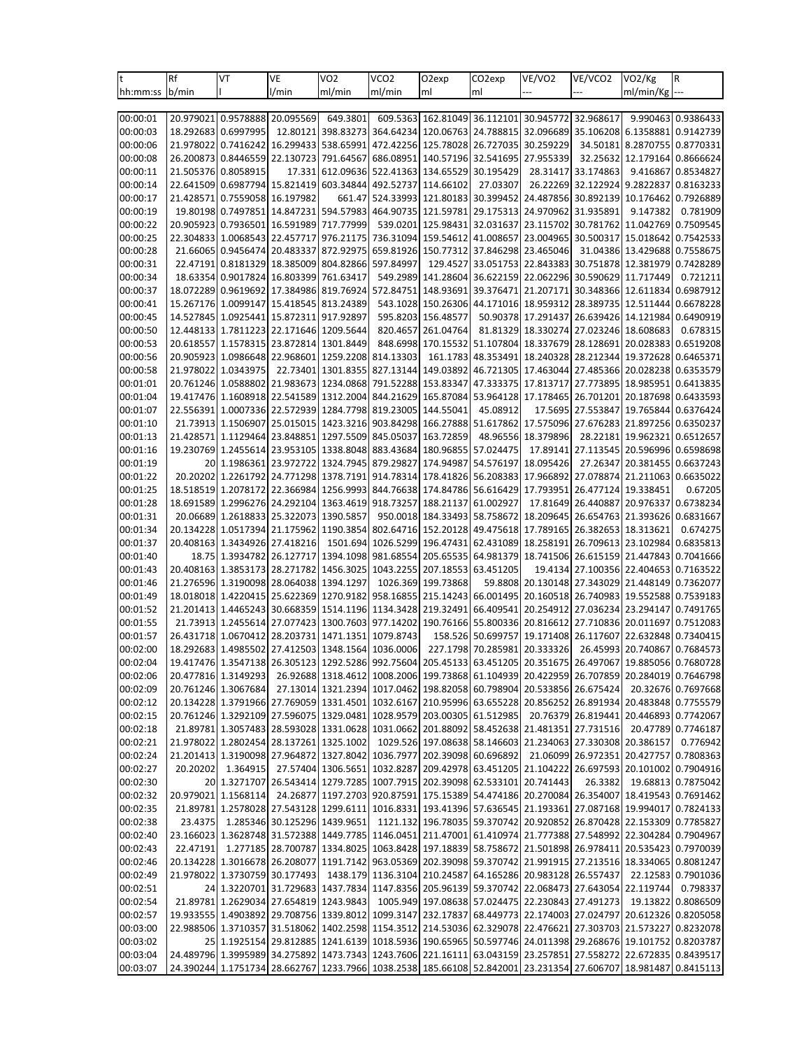| lt.                  | Rf        | VT                                         | VE                                                | VO <sub>2</sub>               | VCO <sub>2</sub>              | O <sub>2</sub> exp                      | CO2exp                                                                                                                                                               | VE/VO2              | VE/VCO2                                 | VO <sub>2</sub> /Kg                     | R                                                                                                                       |
|----------------------|-----------|--------------------------------------------|---------------------------------------------------|-------------------------------|-------------------------------|-----------------------------------------|----------------------------------------------------------------------------------------------------------------------------------------------------------------------|---------------------|-----------------------------------------|-----------------------------------------|-------------------------------------------------------------------------------------------------------------------------|
| hh:mm:ss             | b/min     |                                            | l/min                                             | ml/min                        | ml/min                        | ml                                      | ml                                                                                                                                                                   |                     |                                         | ml/min/Kg                               |                                                                                                                         |
|                      |           |                                            |                                                   |                               |                               |                                         |                                                                                                                                                                      |                     |                                         |                                         |                                                                                                                         |
| 00:00:01             |           | 20.979021 0.9578888                        | 20.095569                                         | 649.3801                      |                               |                                         | 609.5363 162.81049 36.112101 30.945772 32.968617                                                                                                                     |                     |                                         |                                         | 9.990463 0.9386433                                                                                                      |
| 00:00:03             |           | 18.292683 0.6997995                        | 12.80121                                          | 398.83273                     |                               |                                         | 364.64234 120.06763 24.788815 32.096689                                                                                                                              |                     |                                         | 35.106208 6.1358881 0.9142739           |                                                                                                                         |
| 00:00:06             | 21.978022 | 0.7416242                                  | 16.299433                                         | 538.65991                     | 472.42256                     | 125.78028                               | 26.727035                                                                                                                                                            | 30.259229           | 34.50181                                | 8.2870755                               | 0.8770331                                                                                                               |
| 00:00:08             |           | 26.200873 0.8446559                        | 22.130723                                         | 791.64567                     |                               |                                         | 686.08951 140.57196 32.541695 27.955339                                                                                                                              |                     |                                         | 32.25632 12.179164                      | 0.8666624                                                                                                               |
| 00:00:11             |           | 21.505376 0.8058915                        | 17.331                                            | 612.09636                     |                               | 522.41363 134.65529                     | 30.195429                                                                                                                                                            | 28.31417            | 33.174863                               | 9.416867                                | 0.8534827                                                                                                               |
| 00:00:14             |           | 22.641509 0.6987794                        | 15.821419                                         | 603.34844                     | 492.52737                     | 114.66102                               | 27.03307                                                                                                                                                             | 26.22269            | 32.122924                               | 9.2822837                               | 0.8163233                                                                                                               |
| 00:00:17<br>00:00:19 |           | 21.428571 0.7559058<br>19.80198 0.7497851  | 16.197982                                         | 661.47<br>14.847231 594.57983 |                               |                                         | 524.33993 121.80183 30.399452 24.487856 30.892139 10.176462<br>464.90735 121.59781 29.175313 24.970962 31.935891                                                     |                     |                                         | 9.147382                                | 0.7926889<br>0.781909                                                                                                   |
| 00:00:22             | 20.905923 | 0.7936501                                  | 16.591989                                         | 717.77999                     |                               |                                         | 539.0201 125.98431 32.031637                                                                                                                                         | 23.115702           |                                         | 30.781762 11.042769                     | 0.7509545                                                                                                               |
| 00:00:25             |           | 22.304833 1.0068543                        | 22.457717                                         | 976.21175                     |                               | 736.31094 159.54612 41.008657           |                                                                                                                                                                      | 23.004965           |                                         | 30.500317 15.018642                     | 0.7542533                                                                                                               |
| 00:00:28             |           | 21.66065 0.9456474                         | 20.483337                                         | 872.92975                     |                               |                                         | 659.81926 150.77312 37.846298 23.465046                                                                                                                              |                     |                                         | 31.04386 13.429688 0.7558675            |                                                                                                                         |
| 00:00:31             |           | 22.47191 0.8181329                         | 18.385009                                         | 804.82866                     | 597.84997                     | 129.4527                                | 33.051753                                                                                                                                                            | 22.843383           |                                         | 30.751878 12.381979                     | 0.7428289                                                                                                               |
| 00:00:34             |           | 18.63354 0.9017824                         | 16.803399                                         | 761.63417                     |                               |                                         | 549.2989 141.28604 36.622159 22.062296 30.590629 11.717449                                                                                                           |                     |                                         |                                         | 0.721211                                                                                                                |
| 00:00:37             |           | 18.072289 0.9619692                        |                                                   | 17.384986 819.76924           |                               | 572.84751 148.93691                     |                                                                                                                                                                      |                     |                                         | 39.376471 21.207171 30.348366 12.611834 | 0.6987912                                                                                                               |
| 00:00:41             |           | 15.267176 1.0099147                        | 15.418545                                         | 813.24389                     |                               |                                         | 543.1028 150.26306 44.171016 18.959312 28.389735 12.511444                                                                                                           |                     |                                         |                                         | 0.6678228                                                                                                               |
| 00:00:45             |           | 14.527845 1.0925441                        | 15.872311 917.92897                               |                               |                               | 595.8203 156.48577                      |                                                                                                                                                                      |                     |                                         | 50.90378 17.291437 26.639426 14.121984  | 0.6490919                                                                                                               |
| 00:00:50             |           | 12.448133 1.7811223                        | 22.171646                                         | 1209.5644                     |                               | 820.4657 261.04764                      |                                                                                                                                                                      |                     | 81.81329 18.330274 27.023246 18.608683  |                                         | 0.678315                                                                                                                |
| 00:00:53             |           | 20.618557 1.1578315                        | 23.872814                                         | 1301.8449                     |                               | 848.6998 170.15532                      |                                                                                                                                                                      |                     | 51.107804 18.337679 28.128691           | 20.028383                               | 0.6519208                                                                                                               |
| 00:00:56             |           | 20.905923 1.0986648                        | 22.968601                                         | 1259.2208                     | 814.13303                     |                                         | 161.1783 48.353491 18.240328 28.212344 19.372628                                                                                                                     |                     |                                         |                                         | 0.6465371                                                                                                               |
| 00:00:58             |           | 21.978022 1.0343975                        | 22.73401                                          | 1301.8355                     |                               |                                         | 827.13144 149.03892 46.721305 17.463044 27.485366 20.028238 0.6353579                                                                                                |                     |                                         |                                         |                                                                                                                         |
| 00:01:01             |           | 20.761246 1.0588802                        | 21.983673                                         | 1234.0868                     |                               | 791.52288 153.83347                     |                                                                                                                                                                      | 47.333375 17.813717 |                                         | 27.773895 18.985951                     | 0.6413835                                                                                                               |
| 00:01:04             |           | 19.417476 1.1608918<br>22.556391 1.0007336 | 22.541589                                         | 1312.2004                     |                               |                                         | 844.21629 165.87084 53.964128 17.178465 26.701201 20.187698 0.6433593                                                                                                |                     |                                         | 17.5695 27.553847 19.765844             | 0.6376424                                                                                                               |
| 00:01:07<br>00:01:10 |           | 21.73913 1.1506907                         | 22.572939<br>25.015015                            | 1423.3216                     | 1284.7798 819.23005 144.55041 |                                         | 45.08912<br>903.84298 166.27888 51.617862                                                                                                                            | 17.575096           |                                         | 27.676283 21.897256                     | 0.6350237                                                                                                               |
| 00:01:13             |           | 21.428571 1.1129464                        | 23.848851                                         | 1297.5509                     |                               | 845.05037 163.72859                     |                                                                                                                                                                      | 48.96556 18.379896  |                                         | 28.22181 19.962321                      | 0.6512657                                                                                                               |
| 00:01:16             |           | 19.230769 1.2455614                        | 23.953105                                         |                               |                               | 1338.8048 883.43684 180.96855 57.024475 |                                                                                                                                                                      | 17.89141            |                                         | 27.113545 20.596996 0.6598698           |                                                                                                                         |
| 00:01:19             |           | 20 1.1986361                               | 23.972722                                         | 1324.7945                     | 879.29827                     | 174.94987                               | 54.576197                                                                                                                                                            | 18.095426           | 27.26347                                | 20.381455                               | 0.6637243                                                                                                               |
| 00:01:22             |           | 20.20202 1.2261792                         |                                                   |                               |                               |                                         | 24.771298 1378.7191 914.78314 178.41826 56.208383 17.966892 27.078874 21.211063                                                                                      |                     |                                         |                                         | 0.6635022                                                                                                               |
| 00:01:25             |           | 18.518519 1.2078172                        | 22.366984                                         | 1256.9993                     |                               |                                         | 844.76638 174.84786 56.616429                                                                                                                                        | 17.793951           |                                         | 26.477124 19.338451                     | 0.67205                                                                                                                 |
| 00:01:28             |           | 18.691589 1.2996276                        | 24.292104                                         | 1363.4619                     | 918.73257                     | 188.21137                               | 61.002927                                                                                                                                                            | 17.81649            | 26.440887                               | 20.976337                               | 0.6738234                                                                                                               |
| 00:01:31             |           | 20.06689 1.2618833                         | 25.322073                                         | 1390.5857                     |                               |                                         | 950.0018 184.33493 58.758672 18.209645 26.654763 21.393626                                                                                                           |                     |                                         |                                         | 0.6831667                                                                                                               |
| 00:01:34             |           | 20.134228 1.0517394                        | 21.175962                                         | 1190.3854                     |                               |                                         | 802.64716 152.20128 49.475618 17.789165 26.382653 18.313621                                                                                                          |                     |                                         |                                         | 0.674275                                                                                                                |
| 00:01:37             |           | 20.408163 1.3434926                        | 27.418216                                         | 1501.694                      |                               |                                         | 1026.5299 196.47431 62.431089 18.258191                                                                                                                              |                     |                                         | 26.709613 23.102984                     | 0.6835813                                                                                                               |
| 00:01:40             |           | 18.75 1.3934782                            | 26.127717                                         |                               |                               | 1394.1098 981.68554 205.65535           |                                                                                                                                                                      |                     | 64.981379 18.741506 26.615159 21.447843 |                                         | 0.7041666                                                                                                               |
| 00:01:43             |           | 20.408163 1.3853173                        | 28.271782                                         | 1456.3025                     |                               | 1043.2255 207.18553 63.451205           |                                                                                                                                                                      |                     |                                         | 19.4134 27.100356 22.404653             | 0.7163522                                                                                                               |
| 00:01:46             |           | 21.276596 1.3190098                        | 28.064038                                         | 1394.1297                     |                               | 1026.369 199.73868                      |                                                                                                                                                                      |                     |                                         | 59.8808 20.130148 27.343029 21.448149   | 0.7362077                                                                                                               |
| 00:01:49<br>00:01:52 |           | 18.018018 1.4220415<br>21.201413 1.4465243 | 25.622369<br>30.668359                            |                               |                               |                                         | 1270.9182 958.16855 215.14243 66.001495 20.160518 26.740983 19.552588 0.7539183<br>1514.1196 1134.3428 219.32491 66.409541 20.254912 27.036234 23.294147 0.7491765   |                     |                                         |                                         |                                                                                                                         |
| 00:01:55             |           | 21.73913 1.2455614                         | 27.077423                                         | 1300.7603                     | 977.14202                     |                                         | 190.76166 55.800336 20.816612 27.710836 20.011697                                                                                                                    |                     |                                         |                                         | 0.7512083                                                                                                               |
| 00:01:57             |           | 26.431718 1.0670412                        | 28.203731                                         | 1471.1351                     | 1079.8743                     |                                         | 158.526 50.699757 19.171408 26.117607 22.632848                                                                                                                      |                     |                                         |                                         | 0.7340415                                                                                                               |
| 00:02:00             |           |                                            | 18.292683 1.4985502 27.412503 1348.1564 1036.0006 |                               |                               |                                         | 227.1798 70.285981 20.333326                                                                                                                                         |                     |                                         | 26.45993 20.740867 0.7684573            |                                                                                                                         |
| 00:02:04             |           |                                            |                                                   |                               |                               |                                         |                                                                                                                                                                      |                     |                                         |                                         | 19.417476 1.3547138 26.305123 1292.5286 992.75604 205.45133 63.451205 20.351675 26.497067 19.885056 0.7680728           |
| 00:02:06             |           | 20.477816 1.3149293                        |                                                   |                               |                               |                                         | 26.92688 1318.4612 1008.2006 199.73868 61.104939 20.422959 26.707859 20.284019 0.7646798                                                                             |                     |                                         |                                         |                                                                                                                         |
| 00:02:09             |           | 20.761246 1.3067684                        |                                                   |                               |                               |                                         | 27.13014 1321.2394 1017.0462 198.82058 60.798904 20.533856 26.675424                                                                                                 |                     |                                         |                                         | 20.32676 0.7697668                                                                                                      |
| 00:02:12             |           |                                            |                                                   |                               |                               |                                         |                                                                                                                                                                      |                     |                                         |                                         | 20.134228  1.3791966  27.769059  1331.4501  1032.6167  210.95996  63.655228  20.856252  26.891934  20.483848  0.7755579 |
| 00:02:15             |           | 20.761246 1.3292109                        |                                                   |                               |                               |                                         | 27.596075  1329.0481  1028.9579  203.00305  61.512985                                                                                                                |                     |                                         | 20.76379 26.819441 20.446893 0.7742067  |                                                                                                                         |
| 00:02:18             |           |                                            |                                                   |                               |                               |                                         | 21.89781 1.3057483 28.593028 1331.0628 1031.0662 201.88092 58.452638 21.481351 27.731516                                                                             |                     |                                         |                                         | 20.47789 0.7746187                                                                                                      |
| 00:02:21             |           |                                            | 21.978022 1.2802454 28.137261 1325.1002           |                               |                               |                                         | 1029.526 197.08638 58.146603 21.234063 27.330308 20.386157                                                                                                           |                     |                                         |                                         | 0.776942                                                                                                                |
| 00:02:24             |           |                                            |                                                   |                               |                               |                                         | 21.201413 1.3190098 27.964872 1327.8042 1036.7977 202.39098 60.696892                                                                                                |                     |                                         | 21.06099 26.972351 20.427757 0.7808363  |                                                                                                                         |
| 00:02:27             | 20.20202  | 1.364915                                   |                                                   |                               |                               |                                         | 27.57404 1306.5651 1032.8287 209.42978 63.451205 21.104222 26.697593 20.101002 0.7904916                                                                             |                     |                                         |                                         |                                                                                                                         |
| 00:02:30<br>00:02:32 |           |                                            |                                                   |                               |                               |                                         | 20 1.3271707 26.543414 1279.7285 1007.7915 202.39098 62.533101 20.741443<br>24.26877 1197.2703 920.87591 175.15389 54.474186 20.270084 26.354007 18.419543 0.7691462 |                     | 26.3382                                 |                                         | 19.68813 0.7875042                                                                                                      |
| 00:02:35             |           | 20.979021  1.1568114                       |                                                   |                               |                               |                                         | 21.89781 1.2578028 27.543128 1299.6111 1016.8331 193.41396 57.636545 21.193361 27.087168 19.994017 0.7824133                                                         |                     |                                         |                                         |                                                                                                                         |
| 00:02:38             | 23.4375   |                                            | 1.285346 30.125296 1439.9651                      |                               |                               |                                         | 1121.132 196.78035 59.370742 20.920852 26.870428 22.153309 0.7785827                                                                                                 |                     |                                         |                                         |                                                                                                                         |
| 00:02:40             |           |                                            |                                                   |                               |                               |                                         |                                                                                                                                                                      |                     |                                         |                                         | 23.166023 1.3628748 31.572388 1449.7785 1146.0451 211.47001 61.410974 21.777388 27.548992 22.304284 0.7904967           |
| 00:02:43             |           |                                            |                                                   |                               |                               |                                         |                                                                                                                                                                      |                     |                                         |                                         | 22.47191 1.277185 28.700787 1334.8025 1063.8428 197.18839 58.758672 21.501898 26.978411 20.535423 0.7970039             |
| 00:02:46             |           |                                            |                                                   |                               |                               |                                         | 20.134228  1.3016678  26.208077  1191.7142  963.05369  202.39098  59.370742  21.991915  27.213516  18.334065  0.8081247                                              |                     |                                         |                                         |                                                                                                                         |
| 00:02:49             |           |                                            | 21.978022 1.3730759 30.177493                     |                               |                               |                                         | 1438.179 1136.3104 210.24587 64.165286 20.983128 26.557437                                                                                                           |                     |                                         |                                         | 22.12583 0.7901036                                                                                                      |
| 00:02:51             |           |                                            |                                                   |                               |                               |                                         | 24 1.3220701 31.729683 1437.7834 1147.8356 205.96139 59.370742 22.068473 27.643054 22.119744                                                                         |                     |                                         |                                         | 0.798337                                                                                                                |
| 00:02:54             |           |                                            | 21.89781 1.2629034 27.654819 1243.9843            |                               |                               |                                         | 1005.949 197.08638 57.024475 22.230843 27.491273                                                                                                                     |                     |                                         |                                         | 19.13822 0.8086509                                                                                                      |
| 00:02:57             |           |                                            |                                                   |                               |                               |                                         |                                                                                                                                                                      |                     |                                         |                                         | 19933555 1.4903892 29.708756 1339.8012 1099.3147 232.17837 68.449773 22.174003 27.024797 20.612326 0.8205058            |
| 00:03:00             |           |                                            |                                                   |                               |                               |                                         |                                                                                                                                                                      |                     |                                         |                                         | 22.988506  1.3710357  31.518062  1402.2598  1154.3512  214.53036  62.329078  22.476621  27.303703  21.573227  0.8232078 |
| 00:03:02             |           |                                            |                                                   |                               |                               |                                         | 25 1.1925154 29.812885 1241.6139 1018.5936 190.65965 50.597746 24.011398 29.268676 19.101752 0.8203787                                                               |                     |                                         |                                         |                                                                                                                         |
| 00:03:04             |           |                                            |                                                   |                               |                               |                                         |                                                                                                                                                                      |                     |                                         |                                         | 24.489796 1.3995989 34.275892 1473.7343 1243.7606 221.16111 63.043159 23.257851 27.558272 22.672835 0.8439517           |
| 00:03:07             |           |                                            |                                                   |                               |                               |                                         | 24.390244 1.1751734 28.662767 1233.7966 1038.2538 185.66108 52.842001 23.231354 27.606707 18.981487 0.8415113                                                        |                     |                                         |                                         |                                                                                                                         |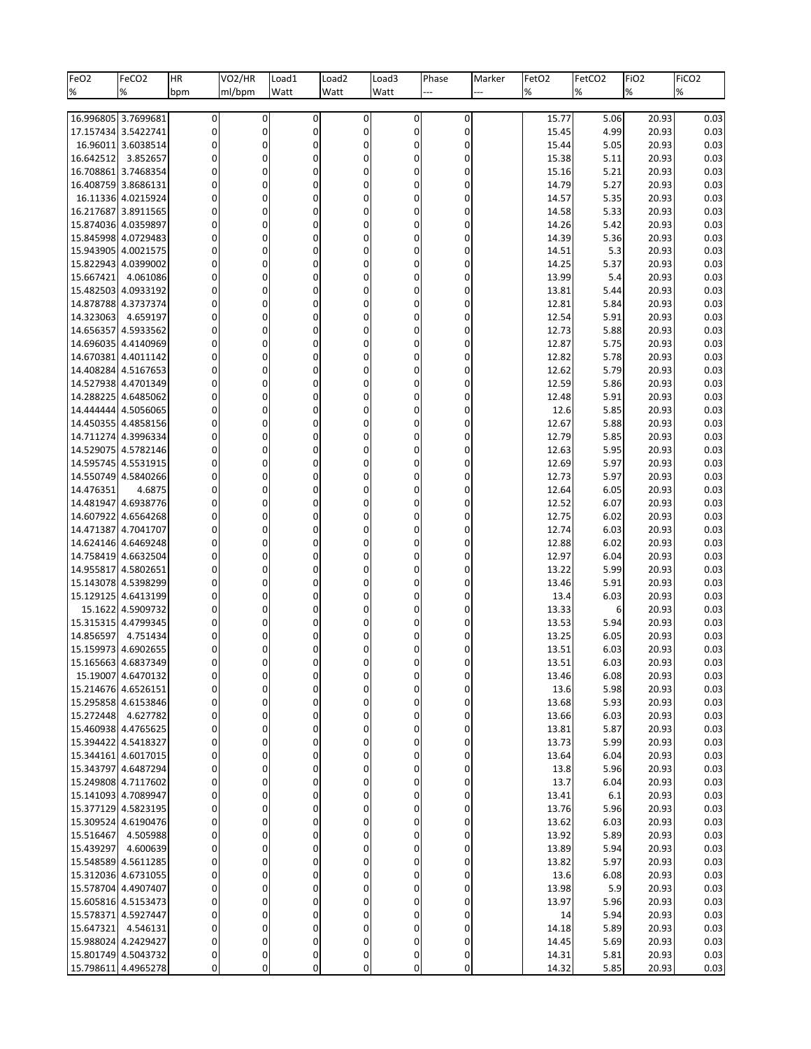| FeO <sub>2</sub> | FeCO <sub>2</sub>                          | HR                               | VO <sub>2</sub> /HR | Load1             | Load <sub>2</sub>                    | Load3                            | Phase                 | Marker | FetO <sub>2</sub> | FetCO <sub>2</sub> | FiO <sub>2</sub> | FiCO <sub>2</sub> |
|------------------|--------------------------------------------|----------------------------------|---------------------|-------------------|--------------------------------------|----------------------------------|-----------------------|--------|-------------------|--------------------|------------------|-------------------|
| %                | $\%$                                       | bpm                              | ml/bpm              | Watt              | Watt                                 | Watt                             |                       |        | $\%$              | %                  | %                | %                 |
|                  | 16.996805 3.7699681                        | $\overline{0}$                   | 0                   | $\pmb{0}$         | 0                                    | 0                                | 0                     |        | 15.77             | 5.06               | 20.93            | 0.03              |
|                  | 17.157434 3.5422741                        | $\overline{0}$                   | 0                   | 0                 | $\boldsymbol{0}$                     | 0                                | 0                     |        | 15.45             | 4.99               | 20.93            | 0.03              |
|                  | 16.96011 3.6038514                         | $\overline{0}$                   | 0                   | 0                 | 0                                    | $\mathbf{0}$                     | 0                     |        | 15.44             | 5.05               | 20.93            | 0.03              |
| 16.642512        | 3.852657                                   | $\overline{0}$                   | 0                   | 0                 | $\boldsymbol{0}$                     | 0                                | 0                     |        | 15.38             | 5.11               | 20.93            | 0.03              |
|                  | 16.708861 3.7468354                        | $\overline{0}$                   | 0                   | 0                 | $\boldsymbol{0}$                     | 0                                | 0                     |        | 15.16             | 5.21               | 20.93            | 0.03              |
|                  | 16.408759 3.8686131                        | 0                                | 0                   | 0                 | 0                                    | $\mathbf{0}$                     | 0                     |        | 14.79             | 5.27               | 20.93            | 0.03              |
|                  | 16.11336 4.0215924                         | $\overline{0}$                   | 0                   | $\mathbf 0$       | 0                                    | 0                                | 0                     |        | 14.57             | 5.35               | 20.93            | 0.03              |
|                  | 16.217687 3.8911565                        | $\overline{0}$                   | 0                   | 0                 | $\boldsymbol{0}$                     | 0                                | 0                     |        | 14.58             | 5.33               | 20.93            | 0.03              |
|                  | 15.874036 4.0359897<br>15.845998 4.0729483 | 0<br>$\overline{0}$              | 0<br>0              | 0<br>0            | $\mathbf 0$<br>0                     | $\mathbf{0}$<br>0                | 0<br>0                |        | 14.26<br>14.39    | 5.42               | 20.93<br>20.93   | 0.03              |
|                  | 15.943905 4.0021575                        | $\overline{0}$                   | 0                   | 0                 | $\boldsymbol{0}$                     | 0                                | 0                     |        | 14.51             | 5.36<br>5.3        | 20.93            | 0.03<br>0.03      |
|                  | 15.822943 4.0399002                        | 0                                | 0                   | 0                 | $\mathbf 0$                          | $\mathbf{0}$                     | 0                     |        | 14.25             | 5.37               | 20.93            | 0.03              |
| 15.667421        | 4.061086                                   | $\overline{0}$                   | 0                   | $\mathbf 0$       | 0                                    | $\pmb{0}$                        | 0                     |        | 13.99             | 5.4                | 20.93            | 0.03              |
|                  | 15.482503 4.0933192                        | $\overline{0}$                   | 0                   | 0                 | 0                                    | 0                                | 0                     |        | 13.81             | 5.44               | 20.93            | 0.03              |
|                  | 14.878788 4.3737374                        | 0                                | 0                   | 0                 | 0                                    | $\mathbf{0}$                     | 0                     |        | 12.81             | 5.84               | 20.93            | 0.03              |
| 14.323063        | 4.659197                                   | $\overline{0}$                   | 0                   | $\mathbf 0$       | 0                                    | 0                                | 0                     |        | 12.54             | 5.91               | 20.93            | 0.03              |
|                  | 14.656357 4.5933562                        | $\overline{0}$                   | 0                   | 0                 | 0                                    | 0                                | 0                     |        | 12.73             | 5.88               | 20.93            | 0.03              |
|                  | 14.696035 4.4140969                        | 0                                | 0                   | 0                 | $\mathbf 0$                          | 0                                | 0                     |        | 12.87             | 5.75               | 20.93            | 0.03              |
|                  | 14.670381 4.4011142                        | $\overline{0}$                   | 0                   | $\mathbf 0$       | 0                                    | $\pmb{0}$                        | 0                     |        | 12.82             | 5.78               | 20.93            | 0.03              |
|                  | 14.408284 4.5167653<br>14.527938 4.4701349 | $\overline{0}$<br>0              | 0<br>0              | 0<br>0            | $\boldsymbol{0}$<br>0                | 0<br>0                           | 0<br>0                |        | 12.62<br>12.59    | 5.79<br>5.86       | 20.93<br>20.93   | 0.03<br>0.03      |
|                  | 14.288225 4.6485062                        | $\overline{0}$                   | 0                   | $\mathbf 0$       | 0                                    | 0                                | 0                     |        | 12.48             | 5.91               | 20.93            | 0.03              |
|                  | 14.444444 4.5056065                        | $\overline{0}$                   | 0                   | 0                 | $\boldsymbol{0}$                     | 0                                | 0                     |        | 12.6              | 5.85               | 20.93            | 0.03              |
|                  | 14.450355 4.4858156                        | 0                                | 0                   | 0                 | $\mathbf 0$                          | 0                                | 0                     |        | 12.67             | 5.88               | 20.93            | 0.03              |
|                  | 14.711274 4.3996334                        | $\overline{0}$                   | 0                   | $\mathbf 0$       | $\boldsymbol{0}$                     | $\pmb{0}$                        | $\boldsymbol{0}$      |        | 12.79             | 5.85               | 20.93            | 0.03              |
|                  | 14.529075 4.5782146                        | $\overline{0}$                   | 0                   | 0                 | 0                                    | 0                                | 0                     |        | 12.63             | 5.95               | 20.93            | 0.03              |
|                  | 14.595745 4.5531915                        | 0                                | 0                   | 0                 | $\mathbf 0$                          | 0                                | 0                     |        | 12.69             | 5.97               | 20.93            | 0.03              |
|                  | 14.550749 4.5840266                        | $\overline{0}$                   | 0                   | $\mathbf 0$       | $\mathbf 0$                          | $\pmb{0}$                        | $\boldsymbol{0}$      |        | 12.73             | 5.97               | 20.93            | 0.03              |
| 14.476351        | 4.6875                                     | $\overline{0}$                   | 0                   | 0                 | $\boldsymbol{0}$                     | 0                                | 0                     |        | 12.64             | 6.05               | 20.93            | 0.03              |
|                  | 14.481947 4.6938776                        | 0                                | 0                   | 0                 | 0                                    | 0                                | 0                     |        | 12.52             | 6.07               | 20.93            | 0.03              |
|                  | 14.607922 4.6564268<br>14.471387 4.7041707 | $\overline{0}$<br>$\overline{0}$ | 0<br>0              | $\mathbf 0$<br>0  | $\boldsymbol{0}$<br>$\boldsymbol{0}$ | $\pmb{0}$<br>0                   | $\boldsymbol{0}$<br>0 |        | 12.75<br>12.74    | 6.02<br>6.03       | 20.93<br>20.93   | 0.03<br>0.03      |
|                  | 14.624146 4.6469248                        | 0                                | 0                   | 0                 | 0                                    | 0                                | 0                     |        | 12.88             | 6.02               | 20.93            | 0.03              |
|                  | 14.758419 4.6632504                        | $\overline{0}$                   | 0                   | 0                 | $\mathbf 0$                          | $\pmb{0}$                        | $\boldsymbol{0}$      |        | 12.97             | 6.04               | 20.93            | 0.03              |
|                  | 14.955817 4.5802651                        | $\overline{0}$                   | 0                   | 0                 | $\boldsymbol{0}$                     | 0                                | 0                     |        | 13.22             | 5.99               | 20.93            | 0.03              |
|                  | 15.143078 4.5398299                        | $\overline{0}$                   | 0                   | 0                 | 0                                    | 0                                | 0                     |        | 13.46             | 5.91               | 20.93            | 0.03              |
|                  | 15.129125 4.6413199                        | $\overline{0}$                   | 0                   | 0                 | 0                                    | $\pmb{0}$                        | $\boldsymbol{0}$      |        | 13.4              | 6.03               | 20.93            | 0.03              |
|                  | 15.1622 4.5909732                          | $\overline{0}$                   | 0                   | 0                 | $\boldsymbol{0}$                     | 0                                | 0                     |        | 13.33             | 6                  | 20.93            | 0.03              |
|                  | 15.315315 4.4799345                        | $\overline{0}$                   | 0                   | 0                 | 0                                    | 0                                | 0                     |        | 13.53             | 5.94               | 20.93            | 0.03              |
| 14.856597        | 4.751434                                   | 0                                | 0                   |                   | 0                                    | 0                                | 0                     |        | 13.25             | 6.05               | 20.93            | 0.03              |
|                  | 15.159973 4.6902655<br>15.165663 4.6837349 | $\overline{0}$<br>$\Omega$       | 0<br>0              |                   | 0<br>$\mathbf 0$                     | 0<br>0                           | 0<br>0                |        | 13.51<br>13.51    | 6.03<br>6.03       | 20.93<br>20.93   | 0.03<br>0.03      |
|                  | 15.19007 4.6470132                         | $\overline{0}$                   | 0                   | 0                 | 0                                    | 0                                | 0                     |        | 13.46             | 6.08               | 20.93            | 0.03              |
|                  | 15.214676 4.6526151                        | 0                                | 0                   | 0                 | 0                                    | 0                                | 0                     |        | 13.6              | 5.98               | 20.93            | 0.03              |
|                  | 15.295858 4.6153846                        | $\overline{0}$                   | 0                   | 0                 | 0                                    | 0                                | 0                     |        | 13.68             | 5.93               | 20.93            | 0.03              |
|                  | 15.272448 4.627782                         | $\overline{0}$                   | 0                   | 0                 | 0                                    | $\pmb{0}$                        | 0                     |        | 13.66             | 6.03               | 20.93            | 0.03              |
|                  | 15.460938 4.4765625                        | 0                                | 0                   | 0                 | 0                                    | $\overline{0}$                   | 0                     |        | 13.81             | 5.87               | 20.93            | 0.03              |
|                  | 15.394422 4.5418327                        | $\overline{0}$                   | 0                   | 0                 | 0                                    | 0                                | 0                     |        | 13.73             | 5.99               | 20.93            | 0.03              |
|                  | 15.344161 4.6017015                        | $\Omega$                         | 0                   | $\mathbf{0}$      | 0                                    | $\overline{0}$                   | 0                     |        | 13.64             | 6.04               | 20.93            | 0.03              |
|                  | 15.343797 4.6487294                        | 0                                | 0                   | 0                 | 0                                    | $\overline{0}$                   | 0                     |        | 13.8              | 5.96               | 20.93            | 0.03              |
|                  | 15.249808 4.7117602<br>15.141093 4.7089947 | $\overline{0}$<br>$\Omega$       | 0<br>0              | 0<br>$\mathbf{0}$ | 0<br>0                               | $\overline{0}$<br>$\overline{0}$ | 0<br>0                |        | 13.7<br>13.41     | 6.04               | 20.93<br>20.93   | 0.03<br>0.03      |
|                  | 15.377129 4.5823195                        | 0                                | 0                   | 0                 | 0                                    | $\overline{0}$                   | 0                     |        | 13.76             | 6.1<br>5.96        | 20.93            | 0.03              |
|                  | 15.309524 4.6190476                        | $\overline{0}$                   | 0                   | 0                 | 0                                    | $\overline{0}$                   | $\overline{0}$        |        | 13.62             | 6.03               | 20.93            | 0.03              |
| 15.516467        | 4.505988                                   | $\overline{0}$                   | 0                   | $\mathbf 0$       | 0                                    | $\overline{0}$                   | 0                     |        | 13.92             | 5.89               | 20.93            | 0.03              |
|                  | 15.439297 4.600639                         | 0                                | 0                   | 0                 | 0                                    | $\overline{0}$                   | 0                     |        | 13.89             | 5.94               | 20.93            | 0.03              |
|                  | 15.548589 4.5611285                        | $\overline{0}$                   | 0                   | 0                 | 0                                    | $\overline{0}$                   | 0                     |        | 13.82             | 5.97               | 20.93            | 0.03              |
|                  | 15.312036 4.6731055                        | $\Omega$                         | 0                   | $\mathbf 0$       | 0                                    | $\mathbf 0$                      | 0                     |        | 13.6              | 6.08               | 20.93            | 0.03              |
|                  | 15.578704 4.4907407                        | 0                                | 0                   | 0                 | 0                                    | $\overline{0}$                   | 0                     |        | 13.98             | 5.9                | 20.93            | 0.03              |
|                  | 15.605816 4.5153473                        | $\overline{0}$                   | 0                   | 0                 | 0                                    | $\overline{0}$                   | $\overline{0}$        |        | 13.97             | 5.96               | 20.93            | 0.03              |
|                  | 15.578371 4.5927447                        | $\Omega$                         | 0                   | 0                 | 0                                    | 0                                | 0                     |        | 14                | 5.94               | 20.93            | 0.03              |
|                  | 15.647321 4.546131<br>15.988024 4.2429427  | $\overline{0}$<br>$\overline{0}$ | 0<br>0              | 0<br>$\Omega$     | 0<br>0                               | $\Omega$<br>$\overline{0}$       | 0<br>0                |        | 14.18<br>14.45    | 5.89<br>5.69       | 20.93<br>20.93   | 0.03<br>0.03      |
|                  | 15.801749 4.5043732                        | $\overline{0}$                   | 0                   | 0                 | 0                                    | 0                                | 0                     |        | 14.31             | 5.81               | 20.93            | 0.03              |
|                  | 15.798611 4.4965278                        | $\overline{0}$                   | 0                   | $\pmb{0}$         | 0                                    | $\overline{0}$                   | 0                     |        | 14.32             | 5.85               | 20.93            | 0.03              |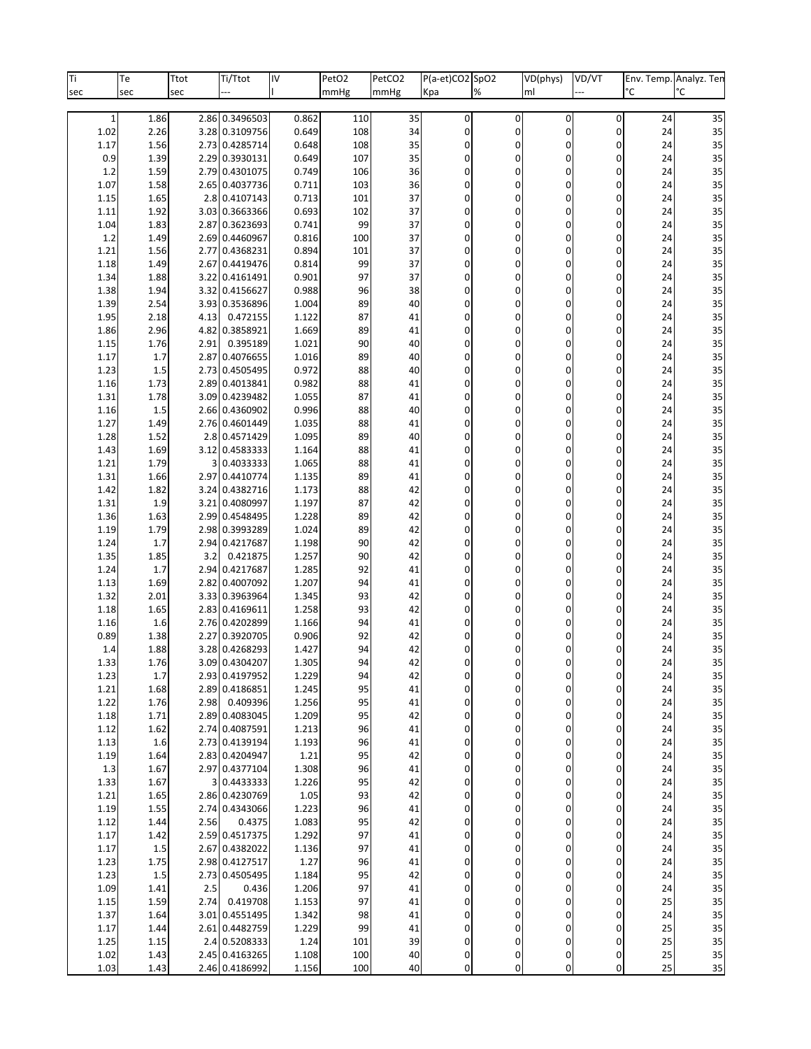| Ti           | Te           | Ttot | Ti/Ttot                          | IV             | PetO <sub>2</sub> | PetCO <sub>2</sub> | P(a-et)CO2 SpO2            |                | VD(phys)                 | VD/VT         |          | Env. Temp. Analyz. Ten |
|--------------|--------------|------|----------------------------------|----------------|-------------------|--------------------|----------------------------|----------------|--------------------------|---------------|----------|------------------------|
| sec          | sec          | sec  |                                  |                | mmHg              | mmHg               | Kpa                        | %              | ml                       |               | °С       | °C                     |
| $\mathbf{1}$ | 1.86         |      | 2.86 0.3496503                   | 0.862          | 110               | 35                 | 0                          | $\pmb{0}$      | $\mathbf 0$              | 0             | 24       | 35                     |
| 1.02         | 2.26         |      | 3.28 0.3109756                   | 0.649          | 108               | 34                 | 0                          | 0              | $\mathbf 0$              | 0             | 24       | 35                     |
| 1.17         | 1.56         | 2.73 | 0.4285714                        | 0.648          | 108               | 35                 | 0                          | 0              | 0                        | 0             | 24       | 35                     |
| 0.9          | 1.39         |      | 2.29 0.3930131                   | 0.649          | 107               | 35                 | 0                          | 0              | $\mathbf 0$              | 0             | 24       | 35                     |
| 1.2          | 1.59         |      | 2.79 0.4301075                   | 0.749          | 106               | 36                 | 0                          | 0              | $\mathbf 0$              | 0             | 24       | 35                     |
| 1.07         | 1.58         | 2.65 | 0.4037736                        | 0.711          | 103               | 36                 | 0                          | 0              | 0                        | 0             | 24       | 35                     |
| 1.15         | 1.65         |      | 2.8 0.4107143                    | 0.713          | 101               | 37                 | 0                          | 0              | $\mathbf 0$              | 0             | 24       | 35                     |
| 1.11         | 1.92         |      | 3.03 0.3663366                   | 0.693          | 102               | 37                 | 0                          | 0              | $\mathbf 0$              | 0             | 24       | 35                     |
| 1.04         | 1.83         | 2.87 | 0.3623693                        | 0.741          | 99                | 37                 | 0                          | 0              | 0<br>0                   | 0             | 24       | 35                     |
| 1.2<br>1.21  | 1.49<br>1.56 |      | 2.69 0.4460967<br>2.77 0.4368231 | 0.816<br>0.894 | 100<br>101        | 37<br>37           | 0<br>0                     | 0<br>0         | 0                        | 0<br>0        | 24<br>24 | 35<br>35               |
| 1.18         | 1.49         | 2.67 | 0.4419476                        | 0.814          | 99                | 37                 | 0                          | 0              | 0                        | 0             | 24       | 35                     |
| 1.34         | 1.88         | 3.22 | 0.4161491                        | 0.901          | 97                | 37                 | 0                          | 0              | 0                        | 0             | 24       | 35                     |
| 1.38         | 1.94         |      | 3.32 0.4156627                   | 0.988          | 96                | 38                 | 0                          | 0              | 0                        | 0             | 24       | 35                     |
| 1.39         | 2.54         |      | 3.93 0.3536896                   | 1.004          | 89                | 40                 | 0                          | 0              | 0                        | 0             | 24       | 35                     |
| 1.95         | 2.18         | 4.13 | 0.472155                         | 1.122          | 87                | 41                 | 0                          | 0              | 0                        | 0             | 24       | 35                     |
| 1.86         | 2.96         |      | 4.82 0.3858921                   | 1.669          | 89                | 41                 | 0                          | 0              | 0                        | 0             | 24       | 35                     |
| 1.15         | 1.76         | 2.91 | 0.395189                         | 1.021          | 90                | 40                 | 0                          | 0              | 0                        | 0             | 24       | 35                     |
| 1.17         | 1.7          | 2.87 | 0.4076655                        | 1.016          | 89                | 40                 | 0                          | 0              | 0                        | 0             | 24       | 35                     |
| 1.23         | 1.5          |      | 2.73 0.4505495                   | 0.972          | 88                | 40                 | 0                          | 0              | 0                        | 0             | 24       | 35                     |
| 1.16         | 1.73         | 2.89 | 0.4013841                        | 0.982          | 88                | 41                 | 0                          | 0              | 0                        | 0             | 24       | 35                     |
| 1.31         | 1.78<br>1.5  |      | 3.09 0.4239482<br>2.66 0.4360902 | 1.055<br>0.996 | 87<br>88          | 41<br>40           | 0                          | 0              | 0                        | 0             | 24       | 35<br>35               |
| 1.16<br>1.27 | 1.49         |      | 2.76 0.4601449                   | 1.035          | 88                | 41                 | 0<br>0                     | 0<br>0         | 0<br>0                   | 0<br>0        | 24<br>24 | 35                     |
| 1.28         | 1.52         |      | 2.8 0.4571429                    | 1.095          | 89                | 40                 | 0                          | 0              | 0                        | 0             | 24       | 35                     |
| 1.43         | 1.69         |      | 3.12 0.4583333                   | 1.164          | 88                | 41                 | 0                          | 0              | 0                        | 0             | 24       | 35                     |
| 1.21         | 1.79         |      | 3 0.4033333                      | 1.065          | 88                | 41                 | 0                          | 0              | 0                        | 0             | 24       | 35                     |
| 1.31         | 1.66         |      | 2.97 0.4410774                   | 1.135          | 89                | 41                 | 0                          | 0              | 0                        | 0             | 24       | 35                     |
| 1.42         | 1.82         |      | 3.24 0.4382716                   | 1.173          | 88                | 42                 | 0                          | 0              | $\mathbf 0$              | 0             | 24       | 35                     |
| 1.31         | 1.9          | 3.21 | 0.4080997                        | 1.197          | 87                | 42                 | 0                          | 0              | 0                        | 0             | 24       | 35                     |
| 1.36         | 1.63         |      | 2.99 0.4548495                   | 1.228          | 89                | 42                 | 0                          | 0              | 0                        | 0             | 24       | 35                     |
| 1.19         | 1.79         |      | 2.98 0.3993289                   | 1.024          | 89                | 42                 | 0                          | 0              | $\mathbf 0$              | 0             | 24       | 35                     |
| 1.24         | 1.7          | 2.94 | 0.4217687                        | 1.198          | 90                | 42                 | 0                          | 0              | 0                        | 0             | 24       | 35                     |
| 1.35         | 1.85         | 3.2  | 0.421875                         | 1.257          | 90                | 42                 | 0                          | 0              | 0                        | 0             | 24       | 35                     |
| 1.24<br>1.13 | 1.7<br>1.69  | 2.82 | 2.94 0.4217687<br>0.4007092      | 1.285<br>1.207 | 92<br>94          | 41<br>41           | 0<br>0                     | 0<br>0         | $\mathbf 0$<br>0         | 0<br>0        | 24<br>24 | 35<br>35               |
| 1.32         | 2.01         |      | 3.33 0.3963964                   | 1.345          | 93                | 42                 | 0                          | 0              | 0                        | 0             | 24       | 35                     |
| 1.18         | 1.65         |      | 2.83 0.4169611                   | 1.258          | 93                | 42                 | 0                          | 0              | $\mathbf 0$              | 0             | 24       | 35                     |
| 1.16         | 1.6          |      | 2.76 0.4202899                   | 1.166          | 94                | 41                 | 0                          | 0              | 0                        | 0             | 24       | 35                     |
| 0.89         | 1.38         | 2.27 | 0.3920705                        | 0.906          | 92                | 42                 | 0                          | 0              | 0                        | 0             | 24       | 35                     |
| 1.4          | 1.88         |      | 3.28 0.4268293                   | 1.427          | 94                | 42                 | 0                          | 0              | 0                        | 0             | 24       | 35                     |
| 1.33         | 1.76         |      | 3.09 0.4304207                   | 1.305          | 94                | 42                 | $\Omega$                   | $\Omega$       | $\Omega$                 | O             | 24       | 35                     |
| 1.23         | 1.7          |      | 2.93 0.4197952                   | 1.229          | 94                | 42                 | 0                          | 0              | $\mathbf 0$              | 0             | 24       | 35                     |
| 1.21         | 1.68         |      | 2.89 0.4186851                   | 1.245          | 95                | 41                 | $\sigma$                   | 0              | $\pmb{0}$                | 0             | 24       | 35                     |
| 1.22         | 1.76         | 2.98 | 0.409396                         | 1.256          | 95                | 41                 | $\sigma$                   | 0              | $\mathbf 0$              | 0             | 24       | 35                     |
| 1.18         | 1.71         |      | 2.89 0.4083045                   | 1.209          | 95                | 42                 | 0                          | 0              | $\mathbf 0$              | $\mathbf 0$   | 24       | 35                     |
| 1.12<br>1.13 | 1.62<br>1.6  |      | 2.74 0.4087591<br>2.73 0.4139194 | 1.213<br>1.193 | 96<br>96          | 41<br>41           | $\sigma$<br>$\overline{0}$ | $\pmb{0}$<br>0 | $\pmb{0}$<br>$\mathbf 0$ | 0<br>0        | 24<br>24 | 35<br>35               |
| 1.19         | 1.64         |      | 2.83 0.4204947                   | 1.21           | 95                | 42                 | 0                          | 0              | 0                        | $\mathbf 0$   | 24       | 35                     |
| 1.3          | 1.67         |      | 2.97 0.4377104                   | 1.308          | 96                | 41                 | $\sigma$                   | $\pmb{0}$      | $\pmb{0}$                | 0             | 24       | 35                     |
| 1.33         | 1.67         |      | 3 0.4433333                      | 1.226          | 95                | 42                 | $\overline{0}$             | 0              | 0                        | 0             | 24       | 35                     |
| 1.21         | 1.65         |      | 2.86 0.4230769                   | 1.05           | 93                | 42                 | 0                          | 0              | 0                        | $\mathbf 0$   | 24       | 35                     |
| 1.19         | 1.55         |      | 2.74 0.4343066                   | 1.223          | 96                | 41                 | $\sigma$                   | 0              | $\pmb{0}$                | 0             | 24       | 35                     |
| 1.12         | 1.44         | 2.56 | 0.4375                           | 1.083          | 95                | 42                 | $\overline{0}$             | 0              | 0                        | 0             | 24       | 35                     |
| 1.17         | 1.42         |      | 2.59 0.4517375                   | 1.292          | 97                | 41                 | 0                          | 0              | 0                        | $\Omega$      | 24       | 35                     |
| 1.17         | 1.5          |      | 2.67 0.4382022                   | 1.136          | 97                | 41                 | $\sigma$                   | 0              | $\pmb{0}$                | 0             | 24       | 35                     |
| 1.23         | 1.75         |      | 2.98 0.4127517                   | 1.27           | 96                | 41                 | 0                          | 0              | 0                        | 0             | 24       | 35                     |
| 1.23         | $1.5\,$      |      | 2.73 0.4505495                   | 1.184          | 95                | 42                 | 0                          | 0              | 0                        | $\Omega$      | 24       | 35                     |
| 1.09         | 1.41         | 2.5  | 0.436                            | 1.206          | 97                | 41                 | $\sigma$                   | 0              | $\pmb{0}$                | 0             | 24       | 35                     |
| 1.15         | 1.59         | 2.74 | 0.419708<br>3.01 0.4551495       | 1.153          | 97<br>98          | 41<br>41           | 0<br>0                     | 0<br>0         | 0<br>0                   | 0<br>$\Omega$ | 25<br>24 | 35<br>35               |
| 1.37<br>1.17 | 1.64<br>1.44 |      | 2.61 0.4482759                   | 1.342<br>1.229 | 99                | 41                 | $\overline{0}$             | 0              | $\mathbf 0$              | 0             | 25       | 35                     |
| 1.25         | 1.15         |      | 2.4 0.5208333                    | 1.24           | 101               | 39                 | 0                          | 0              | $\mathbf 0$              | 0             | 25       | 35                     |
| 1.02         | 1.43         |      | 2.45 0.4163265                   | 1.108          | 100               | 40                 | 0                          | 0              | 0                        | 0             | 25       | 35                     |
| 1.03         | 1.43         |      | 2.46 0.4186992                   | 1.156          | 100               | 40                 | 0l                         | 0              | $\mathbf 0$              | 0             | 25       | 35                     |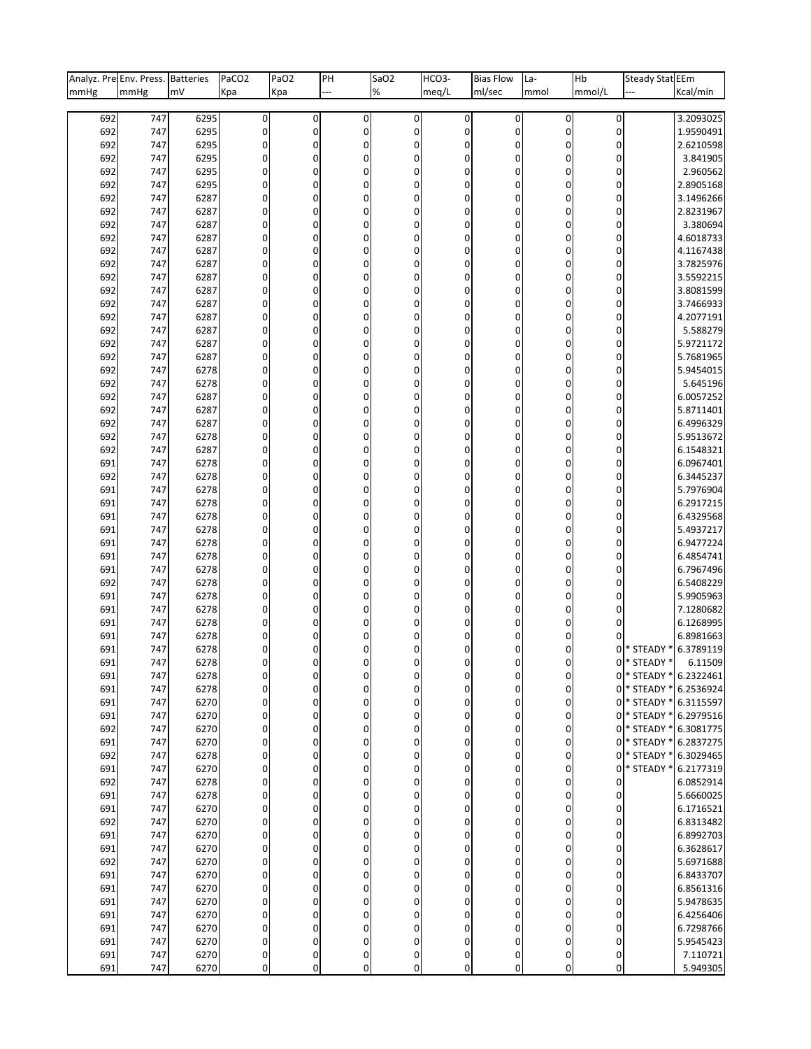| Analyz. Pre Env. Press. Batteries |            |              | PaCO <sub>2</sub> | PaO <sub>2</sub> | PH               | SaO <sub>2</sub>      | HCO <sub>3</sub> - | <b>Bias Flow</b> | La-       | Hb          | Steady Stat EEm      |                        |
|-----------------------------------|------------|--------------|-------------------|------------------|------------------|-----------------------|--------------------|------------------|-----------|-------------|----------------------|------------------------|
| mmHg                              | mmHg       | mV           | Kpa               | Kpa              |                  | $\%$                  | meq/L              | ml/sec           | mmol      | mmol/L      |                      | Kcal/min               |
|                                   |            |              |                   |                  |                  |                       |                    |                  |           |             |                      |                        |
| 692                               | 747        | 6295         | $\pmb{0}$         | $\pmb{0}$        | 0                | $\overline{0}$        | $\overline{0}$     | $\mathbf{0}$     | $\pmb{0}$ | 0           |                      | 3.2093025              |
| 692                               | 747        | 6295         | 0                 | $\mathbf 0$      | 0                | $\boldsymbol{0}$      | 0                  | 0                | 0         | $\mathbf 0$ |                      | 1.9590491              |
| 692                               | 747        | 6295         | 0                 | 0                | 0                | 0                     | 0                  | 0                | 0         | $\mathbf 0$ |                      | 2.6210598              |
| 692                               | 747        | 6295         | 0                 | $\mathbf 0$      | $\boldsymbol{0}$ | $\overline{0}$        | 0                  | 0                | 0         | 0           |                      | 3.841905               |
| 692                               | 747        | 6295         | 0                 | 0                | 0                | 0                     | 0                  | 0                | 0         | 0           |                      | 2.960562               |
| 692                               | 747        | 6295         | 0                 | 0                | 0                | 0                     | 0                  | 0                | 0         | 0           |                      | 2.8905168              |
| 692                               | 747        | 6287         | 0                 | $\mathbf 0$      | 0                | $\boldsymbol{0}$      | 0                  | 0                | 0         | 0           |                      | 3.1496266              |
| 692                               | 747        | 6287         | 0                 | 0                | 0                | $\boldsymbol{0}$      | 0                  | 0                | 0         | 0           |                      | 2.8231967              |
| 692                               | 747        | 6287         | 0                 | 0                | 0                | 0                     | 0                  | 0                | 0         | 0           |                      | 3.380694               |
| 692                               | 747        | 6287         | 0                 | $\mathbf 0$      | 0                | 0                     | 0                  | 0                | 0         | 0           |                      | 4.6018733              |
| 692                               | 747        | 6287         | 0                 | 0                | 0                | 0                     | 0                  | 0                | 0         | 0           |                      | 4.1167438              |
| 692                               | 747        | 6287         | 0                 | 0                | 0                | 0                     | 0                  | 0                | 0         | 0           |                      | 3.7825976              |
| 692                               | 747        | 6287         | 0                 | $\mathbf 0$      | 0                | $\boldsymbol{0}$      | 0                  | 0                | 0         | 0           |                      | 3.5592215              |
| 692<br>692                        | 747<br>747 | 6287<br>6287 | 0<br>$\mathbf 0$  | $\mathbf 0$<br>0 | 0<br>0           | $\boldsymbol{0}$<br>0 | 0<br>0             | 0<br>0           | 0<br>0    | 0<br>0      |                      | 3.8081599<br>3.7466933 |
|                                   | 747        | 6287         | 0                 | $\mathbf 0$      | 0                | 0                     | 0                  | 0                | 0         | 0           |                      |                        |
| 692                               | 747        | 6287         | 0                 | $\mathbf 0$      | 0                | $\boldsymbol{0}$      | 0                  | 0                | 0         |             |                      | 4.2077191<br>5.588279  |
| 692<br>692                        | 747        | 6287         | 0                 | 0                | 0                | 0                     | 0                  | 0                | 0         | 0<br>0      |                      | 5.9721172              |
| 692                               | 747        | 6287         | 0                 | $\mathbf 0$      | 0                | $\boldsymbol{0}$      | 0                  | 0                | 0         | 0           |                      | 5.7681965              |
| 692                               | 747        | 6278         | 0                 | $\mathbf 0$      | 0                | $\boldsymbol{0}$      | 0                  | 0                | 0         | 0           |                      | 5.9454015              |
| 692                               | 747        | 6278         | 0                 | 0                | 0                | $\overline{0}$        | 0                  | 0                | 0         | 0           |                      | 5.645196               |
| 692                               | 747        | 6287         | 0                 | $\mathbf 0$      | 0                | 0                     | 0                  | 0                | 0         | 0           |                      | 6.0057252              |
| 692                               | 747        | 6287         | 0                 | $\mathbf 0$      | 0                | $\boldsymbol{0}$      | 0                  | 0                | 0         | 0           |                      | 5.8711401              |
| 692                               | 747        | 6287         | 0                 | 0                | 0                | 0                     | 0                  | 0                | 0         | 0           |                      | 6.4996329              |
| 692                               | 747        | 6278         | 0                 | $\mathbf 0$      | 0                | 0                     | 0                  | 0                | 0         | 0           |                      | 5.9513672              |
| 692                               | 747        | 6287         | 0                 | $\mathbf 0$      | 0                | $\boldsymbol{0}$      | 0                  | 0                | 0         | 0           |                      | 6.1548321              |
| 691                               | 747        | 6278         | 0                 | $\mathbf 0$      | 0                | 0                     | 0                  | 0                | 0         | 0           |                      | 6.0967401              |
| 692                               | 747        | 6278         | 0                 | $\mathbf 0$      | 0                | 0                     | 0                  | 0                | 0         | 0           |                      | 6.3445237              |
| 691                               | 747        | 6278         | 0                 | $\mathbf 0$      | 0                | $\boldsymbol{0}$      | 0                  | 0                | 0         | 0           |                      | 5.7976904              |
| 691                               | 747        | 6278         | 0                 | 0                | 0                | $\overline{0}$        | 0                  | 0                | 0         | 0           |                      | 6.2917215              |
| 691                               | 747        | 6278         | 0                 | $\mathbf 0$      | 0                | 0                     | 0                  | 0                | 0         | 0           |                      | 6.4329568              |
| 691                               | 747        | 6278         | 0                 | $\mathbf 0$      | 0                | $\boldsymbol{0}$      | 0                  | 0                | 0         | 0           |                      | 5.4937217              |
| 691                               | 747        | 6278         | 0                 | 0                | 0                | $\overline{0}$        | 0                  | 0                | 0         | 0           |                      | 6.9477224              |
| 691                               | 747        | 6278         | 0                 | $\mathbf 0$      | 0                | 0                     | 0                  | 0                | 0         | 0           |                      | 6.4854741              |
| 691                               | 747        | 6278         | 0                 | 0                | 0                | $\boldsymbol{0}$      | 0                  | 0                | 0         | 0           |                      | 6.7967496              |
| 692                               | 747        | 6278         | 0                 | 0                | $\mathbf 0$      | $\overline{0}$        | 0                  | 0                | 0         | 0           |                      | 6.5408229              |
| 691                               | 747        | 6278         | 0                 | $\mathbf 0$      | 0                | 0                     | 0                  | 0                | 0         | 0           |                      | 5.9905963              |
| 691                               | 747        | 6278         | 0                 | 0                | 0                | $\boldsymbol{0}$      | 0                  | 0                | 0         | 0           |                      | 7.1280682              |
| 691                               | 747        | 6278         | 0                 | $\mathbf 0$      | $\boldsymbol{0}$ | $\overline{0}$        | 0                  | 0                | 0         | 0           |                      | 6.1268995              |
| 691                               | 747        | 6278         | 0                 | $\Omega$         | 0                | 0                     | 0                  | $\mathbf 0$      | 0         | 0           |                      | 6.8981663              |
| 691                               | 747        | 6278         | 0                 | 0                | 0                | $\overline{0}$        | 0                  | 0                | 0         | 0           | * STEADY *           | 6.3789119              |
| 691                               | 747        | 6278         | $\Omega$          | $\Omega$         | $\Omega$         | $\Omega$              | $\Omega$           | $\Omega$         | O         | $\Omega$    | * STEADY *           | 6.11509                |
| 691                               | 747        | 6278         | 0                 | 0                | 0                | 0                     | 0                  | 0                | 0         | $\mathbf 0$ | * STEADY * 6.2322461 |                        |
| 691                               | 747        | 6278         | 0                 | $\pmb{0}$        | $\boldsymbol{0}$ | $\overline{0}$        | $\overline{0}$     | $\mathbf 0$      | 0         | 0           | * STEADY *           | 6.2536924              |
| 691                               | 747        | 6270         | $\mathbf 0$       | $\mathbf 0$      | $\boldsymbol{0}$ | $\overline{0}$        | 0                  | $\overline{0}$   | 0         | 0           | * STEADY *           | 6.3115597              |
| 691                               | 747        | 6270         | 0                 | $\mathbf 0$      | 0                | $\mathbf 0$           | 0                  | 0                | 0         | $\mathbf 0$ | * STEADY *           | 6.2979516              |
| 692                               | 747        | 6270         | $\mathbf 0$       | $\pmb{0}$        | 0                | $\overline{0}$        | $\overline{0}$     | $\overline{0}$   | 0         | 0           | * STEADY *           | 6.3081775              |
| 691                               | 747        | 6270         | $\mathbf 0$       | $\mathbf 0$      | $\mathbf 0$      | $\overline{0}$        | 0                  | $\overline{0}$   | 0         | 0           | * STEADY *           | 6.2837275              |
| 692                               | 747        | 6278         | 0                 | $\mathbf 0$      | 0                | $\mathbf 0$           | 0                  | 0                | 0         | $\mathbf 0$ | * STEADY *           | 6.3029465              |
| 691                               | 747        | 6270         | $\mathbf 0$       | $\pmb{0}$        | 0                | $\overline{0}$        | 0                  | $\overline{0}$   | 0         | 0           | * STEADY *           | 6.2177319              |
| 692                               | 747        | 6278         | 0                 | $\mathbf 0$      | 0                | $\overline{0}$        | 0                  | 0                | 0         | 0           |                      | 6.0852914              |
| 691                               | 747        | 6278         | 0                 | $\mathbf 0$      | 0                | 0                     | 0                  | 0                | 0         | $\mathbf 0$ |                      | 5.6660025              |
| 691                               | 747        | 6270         | $\mathbf 0$       | $\pmb{0}$        | 0                | $\overline{0}$        | $\overline{0}$     | $\overline{0}$   | 0         | $\pmb{0}$   |                      | 6.1716521              |
| 692                               | 747        | 6270         | 0                 | $\mathbf 0$      | 0                | $\overline{0}$        | 0                  | 0                | 0         | 0           |                      | 6.8313482              |
| 691                               | 747        | 6270         | 0                 | $\mathbf 0$      | 0                | 0                     | 0                  | 0                | 0         | $\mathbf 0$ |                      | 6.8992703              |
| 691                               | 747        | 6270         | $\mathbf 0$       | $\pmb{0}$        | 0                | $\overline{0}$        | 0                  | $\overline{0}$   | 0         | 0           |                      | 6.3628617              |
| 692                               | 747        | 6270         | 0                 | $\mathbf 0$      | 0                | 0                     | 0                  | 0                | 0         | 0           |                      | 5.6971688              |
| 691                               | 747        | 6270         | $\mathbf 0$       | $\mathbf 0$      | 0                | $\mathbf 0$           | 0                  | 0                | 0         | 0           |                      | 6.8433707              |
| 691                               | 747        | 6270         | $\mathbf 0$       | $\pmb{0}$        | 0                | $\overline{0}$        | $\overline{0}$     | $\overline{0}$   | 0         | $\pmb{0}$   |                      | 6.8561316              |
| 691                               | 747        | 6270         | 0                 | $\mathbf 0$      | 0                | 0                     | 0                  | 0                | 0         | 0           |                      | 5.9478635              |
| 691                               | 747        | 6270         | $\mathbf 0$       | $\mathbf 0$      | 0                | $\mathbf 0$           | 0                  | 0                | 0         | 0           |                      | 6.4256406              |
| 691                               | 747        | 6270         | $\mathbf 0$       | $\mathbf 0$      | 0                | $\overline{0}$        | 0                  | $\overline{0}$   | 0         | $\pmb{0}$   |                      | 6.7298766              |
| 691                               | 747        | 6270         | 0                 | $\mathbf 0$      | 0                | $\overline{0}$        | 0                  | 0                | 0         | 0           |                      | 5.9545423              |
| 691                               | 747        | 6270         | $\pmb{0}$         | $\pmb{0}$        | 0                | $\boldsymbol{0}$      | 0                  | $\overline{0}$   | 0         | $\mathbf 0$ |                      | 7.110721               |
| 691                               | 747        | 6270         | $\mathbf 0$       | $\pmb{0}$        | $\overline{0}$   | $\overline{0}$        | 0                  | $\overline{0}$   | 0         | 0           |                      | 5.949305               |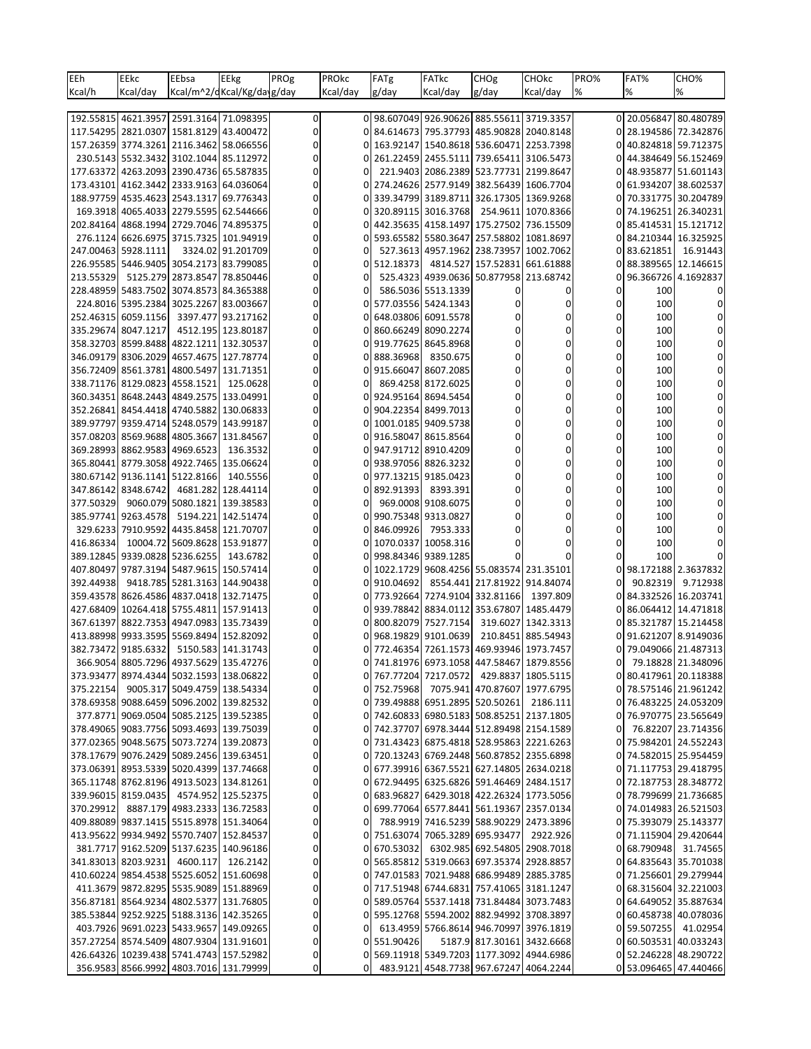| EEh       | EEkc                                                                              | EEbsa                        | EEkg                       | PROg        | PROkc    | FATg                                      | <b>FATkc</b>        | CHOg                                    | <b>CHOkc</b>                            | PRO% | FAT%      | CHO%                                           |
|-----------|-----------------------------------------------------------------------------------|------------------------------|----------------------------|-------------|----------|-------------------------------------------|---------------------|-----------------------------------------|-----------------------------------------|------|-----------|------------------------------------------------|
| Kcal/h    | Kcal/day                                                                          |                              | Kcal/m^2/dKcal/Kg/dayg/day |             | Kcal/day | g/day                                     | Kcal/day            | g/day                                   | Kcal/day                                | %    | %         | %                                              |
|           |                                                                                   |                              |                            |             |          |                                           |                     |                                         |                                         |      |           |                                                |
|           | 192.55815 4621.3957 2591.3164 71.098395                                           |                              |                            | 0           |          | 0 98.607049 926.90626 885.55611 3719.3357 |                     |                                         |                                         |      |           | 0 20.056847 80.480789                          |
|           | 117.54295 2821.0307 1581.8129 43.400472                                           |                              |                            | 0           | 0        |                                           |                     |                                         | 84.614673 795.37793 485.90828 2040.8148 | 01   |           | 28.194586 72.342876                            |
|           | 157.26359 3774.3261 2116.3462 58.066556                                           |                              |                            | $\Omega$    |          |                                           |                     | 163.92147 1540.8618 536.60471 2253.7398 |                                         |      |           | 40.824818 59.712375                            |
|           | 230.5143 5532.3432 3102.1044 85.112972                                            |                              |                            | 0           |          |                                           |                     | 261.22459 2455.5111 739.65411 3106.5473 |                                         |      |           | 0 44.384649 56.152469                          |
|           | 177.63372 4263.2093 2390.4736 65.587835                                           |                              |                            |             |          |                                           |                     | 221.9403 2086.2389 523.77731 2199.8647  |                                         | 01   |           | 48.935877 51.601143                            |
|           | 173.43101 4162.3442 2333.9163 64.036064                                           |                              |                            |             |          |                                           |                     | 274.24626 2577.9149 382.56439 1606.7704 |                                         |      |           | 61.934207 38.602537                            |
|           | 188.97759 4535.4623 2543.1317 69.776343                                           |                              |                            | 0           |          |                                           |                     | 339.34799 3189.8711 326.17305 1369.9268 |                                         | 0    |           | 70.331775 30.204789                            |
|           | 169.3918 4065.4033 2279.5595 62.544666                                            |                              |                            |             | 0        |                                           | 320.89115 3016.3768 |                                         | 254.9611 1070.8366                      |      |           | 0 74.196251 26.340231                          |
|           | 202.84164 4868.1994 2729.7046 74.895375                                           |                              |                            |             |          |                                           |                     | 442.35635 4158.1497 175.27502 736.15509 |                                         |      |           | 85.414531 15.121712                            |
|           | 276.1124 6626.6975 3715.7325 101.94919                                            |                              |                            | 0           |          |                                           |                     | 593.65582 5580.3647 257.58802 1081.8697 |                                         | 0    |           | 84.210344 16.325925                            |
|           | 247.00463 5928.1111                                                               |                              | 3324.02 91.201709          |             |          |                                           |                     | 527.3613 4957.1962 238.73957 1002.7062  |                                         | 0    | 83.621851 | 16.91443                                       |
|           | 226.95585 5446.9405 3054.2173 83.799085                                           |                              |                            |             |          |                                           |                     | 512.18373 4814.527 157.52831 661.61888  |                                         |      |           | 88.389565 12.146615                            |
| 213.55329 |                                                                                   | 5125.279 2873.8547 78.850446 |                            | 0           |          |                                           |                     | 525.4323 4939.0636 50.877958 213.68742  |                                         | 0    |           | 96.366726 4.1692837                            |
|           | 228.48959 5483.7502 3074.8573 84.365388                                           |                              |                            |             |          |                                           | 586.5036 5513.1339  | 0                                       | 0                                       | 0    | 100       |                                                |
|           | 224.8016 5395.2384 3025.2267 83.003667                                            |                              |                            |             |          |                                           | 577.03556 5424.1343 | 0                                       | 0                                       | 0    | 100       | 0                                              |
|           | 252.46315 6059.1156                                                               |                              | 3397.477 93.217162         | 0           |          |                                           | 648.03806 6091.5578 | 0                                       | 0                                       | 0    | 100       | 0                                              |
|           | 335.29674 8047.1217                                                               |                              | 4512.195 123.80187         | 0           |          |                                           | 860.66249 8090.2274 | 0                                       | 0                                       | 0    | 100       | 0                                              |
|           | 358.32703 8599.8488 4822.1211 132.30537                                           |                              |                            |             |          |                                           | 919.77625 8645.8968 | 0                                       | 0                                       | 0    | 100       |                                                |
|           | 346.09179 8306.2029 4657.4675 127.78774                                           |                              |                            | 0           |          |                                           | 888.36968 8350.675  | 0                                       | $\Omega$                                | 0    | 100       | 0                                              |
|           | 356.72409 8561.3781 4800.5497 131.71351                                           |                              |                            |             |          |                                           | 915.66047 8607.2085 | 0                                       | 0                                       | 0    | 100       | 0                                              |
|           | 338.71176 8129.0823 4558.1521                                                     |                              | 125.0628                   |             |          |                                           | 869.4258 8172.6025  | 0                                       | 0                                       | 0    | 100       |                                                |
|           | 360.34351 8648.2443 4849.2575 133.04991                                           |                              |                            | 0           |          |                                           | 924.95164 8694.5454 | 0                                       | 0                                       | 0    | 100       | 0                                              |
|           | 352.26841 8454.4418 4740.5882 130.06833                                           |                              |                            | 0           |          |                                           | 904.22354 8499.7013 | 0                                       | 0                                       | 0    | 100       | 0                                              |
|           | 389.97797 9359.4714 5248.0579 143.99187                                           |                              |                            |             |          |                                           | 1001.0185 9409.5738 | 0                                       | 0                                       | 0    | 100       |                                                |
|           | 357.08203 8569.9688 4805.3667 131.84567                                           |                              |                            | $\Omega$    |          |                                           | 916.58047 8615.8564 | 0                                       | $\Omega$                                | 0    | 100       |                                                |
|           | 369.28993 8862.9583 4969.6523                                                     |                              | 136.3532                   |             |          |                                           | 947.91712 8910.4209 | 0                                       | 0                                       | 0    | 100       | 0                                              |
|           | 365.80441 8779.3058 4922.7465 135.06624                                           |                              |                            |             |          |                                           | 938.97056 8826.3232 | 0                                       | 0                                       | 0    | 100       |                                                |
|           | 380.67142 9136.1141 5122.8166                                                     |                              | 140.5556                   | 0           |          |                                           | 977.13215 9185.0423 | 0                                       | $\Omega$                                | 0    | 100       |                                                |
|           | 347.86142 8348.6742                                                               |                              | 4681.282 128.44114         |             | 0        | 892.91393                                 | 8393.391            | 0                                       | 0                                       | 0    | 100       |                                                |
| 377.50329 |                                                                                   | 9060.079 5080.1821 139.38583 |                            |             |          |                                           | 969.0008 9108.6075  | 0                                       | 0                                       | 0    | 100       |                                                |
|           | 385.97741 9263.4578                                                               |                              | 5194.221 142.51474         | $\Omega$    |          |                                           | 990.75348 9313.0827 | 0                                       | 0                                       | 0    | 100       |                                                |
|           | 329.6233 7910.9592 4435.8458 121.70707                                            |                              |                            |             |          |                                           | 846.09926 7953.333  | 0                                       | 0                                       | 0    | 100       |                                                |
| 416.86334 |                                                                                   | 10004.72 5609.8628 153.91877 |                            |             |          |                                           | 1070.0337 10058.316 | 0                                       | 0                                       | 0    | 100       |                                                |
|           | 389.12845 9339.0828 5236.6255                                                     |                              | 143.6782                   | 0           |          |                                           | 998.84346 9389.1285 |                                         | O                                       | 0    | 100       |                                                |
|           | 407.80497 9787.3194 5487.9615 150.57414                                           |                              |                            |             |          |                                           |                     | 1022.1729 9608.4256 55.083574 231.35101 |                                         | 01   |           | 98.172188 2.3637832                            |
| 392.44938 |                                                                                   | 9418.785 5281.3163 144.90438 |                            |             |          | 910.04692                                 |                     | 8554.441 217.81922 914.84074            |                                         | 0    | 90.82319  | 9.712938                                       |
|           | 359.43578 8626.4586 4837.0418 132.71475                                           |                              |                            |             |          |                                           |                     | 773.92664 7274.9104 332.81166           | 1397.809                                | 0    |           | 84.332526 16.203741                            |
|           | 427.68409 10264.418 5755.4811 157.91413                                           |                              |                            |             |          |                                           |                     |                                         | 939.78842 8834.0112 353.67807 1485.4479 | 0    |           | 86.064412 14.471818                            |
|           | 367.61397 8822.7353 4947.0983 135.73439                                           |                              |                            |             |          |                                           | 800.82079 7527.7154 |                                         | 319.6027 1342.3313                      | 0    |           | 85.321787 15.214458                            |
|           | 413.88998 9933.3595 5569.8494 152.82092                                           |                              |                            |             |          |                                           | 968.19829 9101.0639 |                                         | 210.8451 885.54943                      | 0    |           | 91.621207 8.9149036                            |
|           | 382.73472 9185.6332 5150.583 141.31743                                            |                              |                            | 0           | 0        |                                           |                     |                                         | 772.46354 7261.1573 469.93946 1973.7457 |      |           | 0 79.049066 21.487313                          |
|           | 366.9054 8805.7296 4937.5629 135.47276                                            |                              |                            | $\Omega$    | ΩI       |                                           |                     |                                         | 741.81976 6973.1058 447.58467 1879.8556 |      |           | 0 79.18828 21.348096                           |
|           | 373.93477 8974.4344 5032.1593 138.06822                                           |                              |                            | 0           | 01       |                                           |                     |                                         | 767.77204 7217.0572 429.8837 1805.5115  |      |           | 0 80.417961 20.118388                          |
| 375.22154 |                                                                                   | 9005.317 5049.4759 138.54334 |                            | 0           |          | 0 752.75968 7075.941 470.87607 1977.6795  |                     |                                         |                                         |      |           | 0 78.575146 21.961242                          |
|           | 378.69358 9088.6459 5096.2002 139.82532                                           |                              |                            | $\mathbf 0$ |          | 0 739.49888 6951.2895 520.50261 2186.111  |                     |                                         |                                         |      |           | 0 76.483225 24.053209                          |
|           | 377.8771 9069.0504 5085.2125 139.52385                                            |                              |                            | $\mathbf 0$ | 01       |                                           |                     | 742.60833 6980.5183 508.85251 2137.1805 |                                         |      |           | 0 76.970775 23.565649                          |
|           | 378.49065   9083.7756   5093.4693   139.75039                                     |                              |                            | 0           |          | 0 742.37707 6978.3444 512.89498 2154.1589 |                     |                                         |                                         |      |           | 0 76.82207 23.714356                           |
|           | 377.02365 9048.5675 5073.7274 139.20873                                           |                              |                            | 0           |          | 0 731.43423 6875.4818 528.95863 2221.6263 |                     |                                         |                                         |      |           | 0 75.984201 24.552243                          |
|           | 378.17679 9076.2429 5089.2456 139.63451                                           |                              |                            | 0           |          | 0 720.13243 6769.2448 560.87852 2355.6898 |                     |                                         |                                         |      |           | 0 74.582015 25.954459                          |
|           | 373.06391 8953.5339 5020.4399 137.74668                                           |                              |                            | 0           |          | 0 677.39916 6367.5521 627.14805 2634.0218 |                     |                                         |                                         |      |           | 0  71.117753  29.418795                        |
|           | 365.11748 8762.8196 4913.5023 134.81261                                           |                              |                            | 0           |          | 0 672.94495 6325.6826 591.46469 2484.1517 |                     |                                         |                                         |      |           | 0 72.187753 28.348772                          |
|           | 339.96015 8159.0435 4574.952 125.52375                                            |                              |                            | $\mathbf 0$ | 01       |                                           |                     |                                         | 683.96827 6429.3018 422.26324 1773.5056 |      |           | 0 78.799699 21.736685                          |
|           |                                                                                   |                              |                            |             |          |                                           |                     |                                         |                                         |      |           |                                                |
|           | 370.29912 8887.179 4983.2333 136.72583<br>409.88089 9837.1415 5515.8978 151.34064 |                              |                            | 0<br>0      | 01       | 0 699.77064 6577.8441 561.19367 2357.0134 |                     |                                         | 788.9919 7416.5239 588.90229 2473.3896  |      |           | 0 74.014983 26.521503<br>0 75.393079 25.143377 |
|           | 413.95622 9934.9492 5570.7407 152.84537                                           |                              |                            | 0           |          |                                           |                     |                                         |                                         |      |           |                                                |
|           |                                                                                   |                              |                            |             |          | 0 751.63074 7065.3289 695.93477           |                     |                                         | 2922.926                                |      |           | 0 71.115904 29.420644                          |
|           | 381.7717 9162.5209 5137.6235 140.96186                                            |                              |                            | 0           |          | 0 670.53032 6302.985 692.54805 2908.7018  |                     |                                         |                                         |      |           | 0 68.790948 31.74565                           |
|           | 341.83013 8203.9231 4600.117 126.2142                                             |                              |                            | 0           |          | 0 565.85812 5319.0663 697.35374 2928.8857 |                     |                                         |                                         |      |           | 0 64.835643 35.701038                          |
|           | 410.60224 9854.4538 5525.6052 151.60698                                           |                              |                            | $\mathbf 0$ | 01       |                                           |                     | 747.01583 7021.9488 686.99489 2885.3785 |                                         |      |           | 0 71.256601 29.279944                          |
|           | 411.3679 9872.8295 5535.9089 151.88969                                            |                              |                            | 0           |          | 0 717.51948 6744.6831 757.41065 3181.1247 |                     |                                         |                                         |      |           | 0 68.315604 32.221003                          |
|           | 356.87181 8564.9234 4802.5377 131.76805                                           |                              |                            | 0           |          | 0 589.05764 5537.1418 731.84484 3073.7483 |                     |                                         |                                         |      |           | 0 64.649052 35.887634                          |
|           | 385.53844 9252.9225 5188.3136 142.35265                                           |                              |                            | $\mathbf 0$ |          | 0 595.12768 5594.2002 882.94992 3708.3897 |                     |                                         |                                         |      |           | 0 60.458738 40.078036                          |
|           | 403.7926 9691.0223 5433.9657 149.09265                                            |                              |                            | 0           | 01       |                                           |                     |                                         | 613.4959 5766.8614 946.70997 3976.1819  |      |           | 0 59.507255 41.02954                           |
|           | 357.27254 8574.5409 4807.9304 131.91601                                           |                              |                            | 0           |          | 0 551.90426                               |                     |                                         | 5187.9 817.30161 3432.6668              |      |           | 0 60.503531 40.033243                          |
|           | 426.64326 10239.438 5741.4743 157.52982                                           |                              |                            | 0           | 0        |                                           |                     |                                         | 569.11918 5349.7203 1177.3092 4944.6986 |      |           | 0 52.246228 48.290722                          |
|           | 356.9583 8566.9992 4803.7016 131.79999                                            |                              |                            | $\mathbf 0$ | 0        |                                           |                     |                                         | 483.9121 4548.7738 967.67247 4064.2244  |      |           | 0 53.096465 47.440466                          |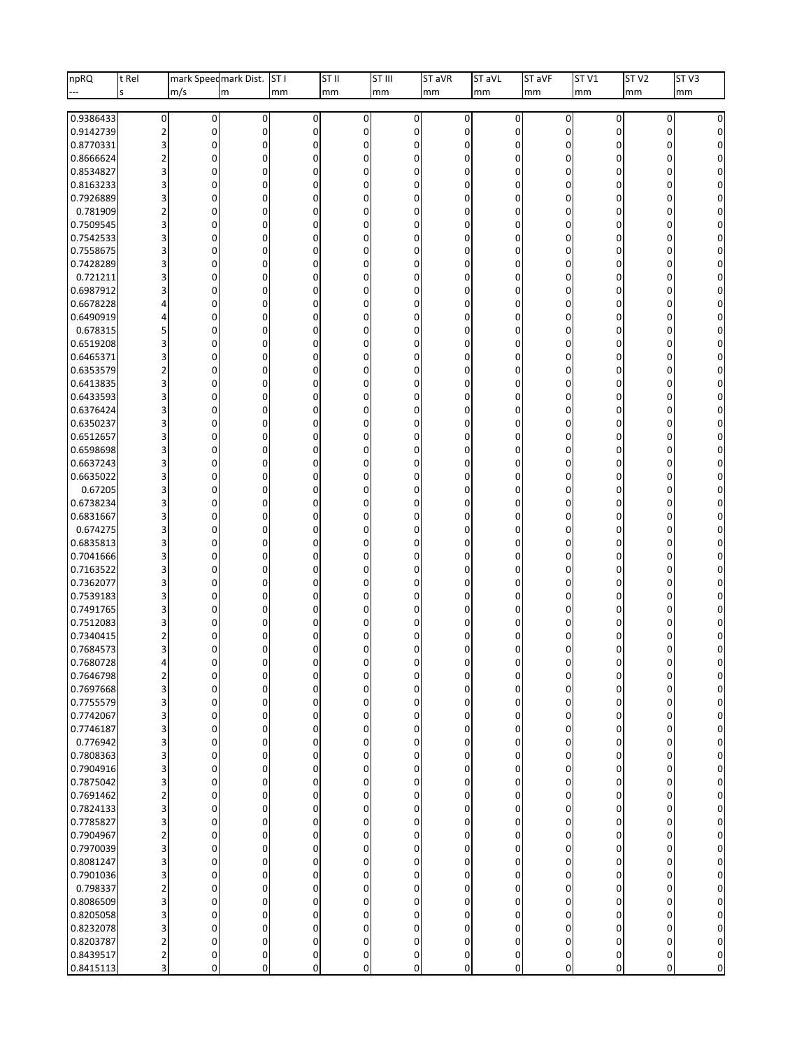| npRQ                   | t Rel                   | mark Speedmark Dist.             |                | ST <sub>I</sub>               | ST II            | ST III                        | ST aVR               | ST aVL           | ST <sub>aVF</sub>          | ST <sub>V1</sub>              | ST <sub>V2</sub>           | ST <sub>V3</sub>                 |
|------------------------|-------------------------|----------------------------------|----------------|-------------------------------|------------------|-------------------------------|----------------------|------------------|----------------------------|-------------------------------|----------------------------|----------------------------------|
|                        | S                       | m/s                              | m              | mm                            | mm               | mm                            | mm                   | mm               | mm                         | mm                            | mm                         | mm                               |
| 0.9386433              | $\pmb{0}$               | $\overline{0}$                   | 0              | 0                             | 0                | $\overline{0}$                | 0                    | 0                | 0                          | $\pmb{0}$                     | 0                          | $\overline{0}$                   |
| 0.9142739              | $\overline{2}$          | $\overline{0}$                   | 0              | 0                             | 0                | $\mathbf 0$                   | $\mathbf 0$          | 0                | $\mathbf 0$                | $\mathbf 0$                   | 0                          | $\overline{0}$                   |
| 0.8770331              | 3                       | 0                                | 0              | 0                             | 0                | $\mathbf 0$                   | 0                    | 0                | 0                          | 0                             | 0                          | $\Omega$                         |
| 0.8666624              | $\overline{2}$          | $\overline{0}$                   | 0              | $\overline{0}$                | $\mathbf 0$      | $\overline{0}$                | $\Omega$             | 0                | $\Omega$                   | $\mathbf 0$                   | 0                          | $\Omega$                         |
| 0.8534827              | 3                       | 0                                | 0              | 0                             | 0                | $\mathbf 0$                   | 0                    | 0                | $\Omega$                   | 0                             | 0                          | $\Omega$                         |
| 0.8163233              | 3                       | 0                                | 0              | 0                             | 0                | $\mathbf 0$                   | 0                    | 0                | $\Omega$                   | 0                             | 0                          | $\overline{0}$                   |
| 0.7926889              | 3                       | 0                                | 0              | $\mathbf{0}$                  | 0                | 0                             | 0                    | 0                | $\Omega$                   | $\mathbf 0$                   | $\mathbf 0$                | $\overline{0}$                   |
| 0.781909               | $\overline{2}$          | 0                                | 0              | 0                             | 0                | $\mathbf 0$                   | 0                    | 0                | $\Omega$                   | 0                             | $\mathbf 0$                | $\Omega$                         |
| 0.7509545              | 3                       | 0                                | 0              | 0                             | $\mathbf 0$      | $\mathbf 0$                   | 0                    | 0                | $\Omega$                   | 0                             | $\mathbf 0$                | $\overline{0}$                   |
| 0.7542533<br>0.7558675 | 3<br>3                  | 0<br>0                           | 0<br>0         | $\overline{0}$<br>0           | 0<br>0           | 0<br>$\mathbf 0$              | 0<br>0               | 0<br>0           | $\Omega$<br>$\Omega$       | $\mathbf 0$<br>0              | $\mathbf 0$<br>$\mathbf 0$ | $\overline{0}$<br>$\Omega$       |
| 0.7428289              | 3                       | 0                                | 0              | 0                             | $\mathbf 0$      | $\mathbf 0$                   | 0                    | 0                | $\Omega$                   | $\mathbf 0$                   | 0                          | $\overline{0}$                   |
| 0.721211               | 3                       | 0                                | 0              | $\mathbf{0}$                  | 0                | $\mathbf 0$                   | 0                    | 0                | $\Omega$                   | $\mathbf 0$                   | $\mathbf 0$                | $\overline{0}$                   |
| 0.6987912              | 3                       | 0                                | 0              | 0                             | 0                | $\mathbf 0$                   | 0                    | 0                | $\Omega$                   | 0                             | 0                          | $\overline{0}$                   |
| 0.6678228              | Δ                       | 0                                | 0              | 0                             | $\mathbf 0$      | $\mathbf 0$                   | 0                    | 0                | $\Omega$                   | 0                             | $\mathbf 0$                | $\overline{0}$                   |
| 0.6490919              | 4                       | 0                                | 0              | $\overline{0}$                | 0                | $\mathbf 0$                   | 0                    | 0                | $\Omega$                   | $\mathbf 0$                   | 0                          | $\overline{0}$                   |
| 0.678315               | 5                       | 0                                | 0              | 0                             | 0                | $\mathbf 0$                   | 0                    | 0                | $\Omega$                   | 0                             | 0                          | $\overline{0}$                   |
| 0.6519208              | 3                       | 0                                | 0              | 0                             | $\mathbf 0$      | $\mathbf 0$                   | 0                    | 0                | $\Omega$                   | $\mathbf{0}$                  | $\mathbf 0$                | $\Omega$                         |
| 0.6465371              | 3                       | 0                                | 0              | $\overline{0}$                | 0                | 0                             | $\Omega$             | 0                | $\Omega$                   | $\mathbf 0$                   | $\mathbf 0$                | $\overline{0}$                   |
| 0.6353579              | $\overline{\mathbf{c}}$ | 0                                | 0              | 0                             | 0                | 0                             | 0                    | 0                | $\Omega$                   | 0                             | 0                          | $\overline{0}$                   |
| 0.6413835<br>0.6433593 | 3<br>3                  | 0<br>0                           | 0<br>0         | 0<br>$\overline{0}$           | $\mathbf 0$<br>0 | $\mathbf 0$<br>0              | $\Omega$<br>0        | 0<br>0           | $\Omega$<br>$\Omega$       | $\mathbf{0}$<br>$\mathbf 0$   | $\mathbf 0$<br>0           | $\Omega$<br>$\overline{0}$       |
| 0.6376424              | 3                       | 0                                | 0              | 0                             | 0                | $\mathbf 0$                   | 0                    | 0                | $\Omega$                   | 0                             | 0                          | $\overline{0}$                   |
| 0.6350237              | 3                       | 0                                | 0              | 0                             | $\mathbf 0$      | $\mathbf 0$                   | 0                    | 0                | $\Omega$                   | $\mathbf{0}$                  | $\mathbf 0$                | $\Omega$                         |
| 0.6512657              | 3                       | 0                                | 0              | 0                             | 0                | $\mathbf 0$                   | 0                    | 0                | $\Omega$                   | $\mathbf 0$                   | 0                          | $\overline{0}$                   |
| 0.6598698              | 3                       | 0                                | 0              | 0                             | 0                | 0                             | 0                    | 0                | $\Omega$                   | 0                             | 0                          | $\overline{0}$                   |
| 0.6637243              | 3                       | 0                                | 0              | 0                             | $\mathbf 0$      | $\mathbf 0$                   | 0                    | 0                | $\Omega$                   | $\overline{0}$                | $\mathbf 0$                | $\Omega$                         |
| 0.6635022              | 3                       | 0                                | 0              | 0                             | 0                | $\mathbf 0$                   | 0                    | 0                | $\Omega$                   | $\mathbf 0$                   | 0                          | $\overline{0}$                   |
| 0.67205                | 3                       | 0                                | 0              | 0                             | 0                | $\overline{0}$                | 0                    | 0                | $\Omega$                   | $\mathbf 0$                   | 0                          | $\overline{0}$                   |
| 0.6738234              | 3                       | 0                                | 0              | 0                             | $\mathbf 0$      | $\Omega$                      | 0                    | 0                | $\Omega$                   | $\mathbf{0}$                  | $\mathbf 0$                | $\overline{0}$                   |
| 0.6831667              | 3                       | 0                                | $\mathbf 0$    | 0                             | 0                | $\mathbf 0$                   | 0                    | 0                | $\Omega$                   | $\mathbf 0$                   | 0                          | $\Omega$                         |
| 0.674275<br>0.6835813  | 3<br>3                  | 0<br>0                           | 0<br>0         | 0<br>0                        | 0<br>$\mathbf 0$ | $\overline{0}$<br>$\Omega$    | 0<br>0               | 0<br>0           | $\Omega$<br>$\Omega$       | $\mathbf 0$<br>$\mathbf{0}$   | 0<br>$\mathbf 0$           | $\overline{0}$                   |
| 0.7041666              | 3                       | 0                                | 0              | 0                             | 0                | $\mathbf 0$                   | 0                    | 0                | $\Omega$                   | $\mathbf 0$                   | 0                          | $\Omega$<br>$\overline{0}$       |
| 0.7163522              | 3                       | 0                                | 0              | 0                             | 0                | $\overline{0}$                | 0                    | 0                | $\Omega$                   | $\mathbf 0$                   | 0                          | $\overline{0}$                   |
| 0.7362077              | 3                       | 0                                | 0              | 0                             | 0                | $\mathbf 0$                   | 0                    | 0                | $\Omega$                   | $\mathbf 0$                   | 0                          | $\overline{0}$                   |
| 0.7539183              | 3                       | 0                                | 0              | 0                             | 0                | $\mathbf 0$                   | 0                    | 0                | $\Omega$                   | $\mathbf{0}$                  | 0                          | $\overline{0}$                   |
| 0.7491765              | 3                       | 0                                | 0              | 0                             | 0                | 0                             | 0                    | 0                | $\Omega$                   | 0                             | 0                          | $\overline{0}$                   |
| 0.7512083              | 3                       | 0                                | 0              | 0                             | 0                | $\Omega$                      | 0                    | 0                | $\Omega$                   | 0                             | 0                          | $\overline{0}$                   |
| 0.7340415              |                         | 0                                | 0              | U                             | 0                | $\Omega$                      |                      | 0                |                            | 0                             | 0                          | $\overline{0}$                   |
| 0.7684573              | 3                       | $\Omega$                         | 0              | 0                             | 0                | $\Omega$                      | 0                    | 0                | 0                          | 0                             | 0                          | $\overline{0}$                   |
| 0.7680728              |                         | $\Omega$                         | $\Omega$       |                               | 0                | $\Omega$                      |                      | $\Omega$         | n                          | $\Omega$                      | $\Omega$                   | $\Omega$                         |
| 0.7646798<br>0.7697668 | $\overline{2}$<br>3     | 0<br>$\overline{0}$              | 0<br>0         | 0<br>0                        | 0<br>0           | $\mathbf 0$<br>$\overline{0}$ | 0<br>0               | 0<br>$\mathbf 0$ | $\mathbf 0$<br>$\mathbf 0$ | 0<br>$\pmb{0}$                | $\mathbf 0$<br>$\mathbf 0$ | $\Omega$<br>$\overline{0}$       |
| 0.7755579              | 3                       | $\overline{0}$                   | 0              | $\overline{0}$                | 0                | $\overline{0}$                | $\Omega$             | $\mathbf 0$      | $\mathbf 0$                | $\mathbf 0$                   | $\mathbf 0$                | $\overline{0}$                   |
| 0.7742067              | 3                       | $\overline{0}$                   | 0              | $\overline{0}$                | 0                | $\Omega$                      | $\Omega$             | $\mathbf 0$      | $\mathbf 0$                | $\mathbf{0}$                  | $\mathbf 0$                | $\overline{0}$                   |
| 0.7746187              | 3                       | $\overline{0}$                   | 0              | $\overline{0}$                | $\boldsymbol{0}$ | $\overline{0}$                | 0                    | $\mathbf 0$      | $\mathbf 0$                | $\mathbf 0$                   | $\overline{0}$             | $\overline{0}$                   |
| 0.776942               | 3                       | $\overline{0}$                   | 0              | $\overline{0}$                | 0                | $\overline{0}$                | $\Omega$             | 0                | $\mathbf 0$                | $\mathbf 0$                   | $\mathbf 0$                | $\overline{0}$                   |
| 0.7808363              | 3                       | $\overline{0}$                   | 0              | $\overline{0}$                | 0                | $\Omega$                      | $\Omega$             | 0                | $\mathbf 0$                | $\mathbf{0}$                  | $\mathbf 0$                | $\overline{0}$                   |
| 0.7904916              | 3                       | $\overline{0}$                   | 0              | 0                             | $\pmb{0}$        | $\Omega$                      | $\mathbf 0$          | $\mathbf 0$      | $\mathbf 0$                | $\mathbf 0$                   | $\overline{0}$             | $\overline{0}$                   |
| 0.7875042              | 3                       | $\overline{0}$                   | 0              | $\mathbf 0$                   | 0                | $\Omega$                      | $\Omega$             | $\mathbf 0$      | $\mathbf 0$                | $\mathbf 0$                   | 0                          | $\overline{0}$                   |
| 0.7691462              | $\overline{2}$          | $\overline{0}$                   | 0              | $\overline{0}$                | 0                | $\Omega$                      | $\Omega$             | 0                | $\mathbf 0$                | $\mathbf{0}$                  | 0                          | $\overline{0}$                   |
| 0.7824133              | 3                       | $\overline{0}$                   | 0              | $\overline{0}$                | $\pmb{0}$        | $\overline{0}$                | 0                    | $\mathbf 0$      | $\mathbf 0$                | $\mathbf 0$                   | $\overline{0}$             | $\overline{0}$                   |
| 0.7785827<br>0.7904967 | 3<br>$\overline{2}$     | $\overline{0}$<br>$\overline{0}$ | 0<br>0         | $\mathbf 0$<br>$\overline{0}$ | 0<br>0           | $\overline{0}$<br>$\Omega$    | $\Omega$<br>$\Omega$ | 0<br>0           | $\mathbf 0$<br>$\mathbf 0$ | $\mathbf 0$<br>$\overline{0}$ | 0<br>$\mathbf 0$           | $\overline{0}$<br>$\overline{0}$ |
| 0.7970039              | 3                       | $\overline{0}$                   | 0              | 0                             | 0                | $\Omega$                      | 0                    | $\overline{0}$   | $\mathbf 0$                | $\mathbf 0$                   | $\overline{0}$             | $\overline{0}$                   |
| 0.8081247              | 3                       | $\overline{0}$                   | 0              | $\mathbf 0$                   | 0                | $\Omega$                      | $\Omega$             | 0                | $\mathbf 0$                | $\mathbf 0$                   | 0                          | $\overline{0}$                   |
| 0.7901036              | 3                       | $\overline{0}$                   | $\overline{0}$ | $\mathbf 0$                   | 0                | $\Omega$                      | $\Omega$             | $\mathbf 0$      | $\mathbf 0$                | $\mathbf 0$                   | $\mathbf 0$                | $\overline{0}$                   |
| 0.798337               | $\overline{2}$          | $\overline{0}$                   | 0              | $\overline{0}$                | $\boldsymbol{0}$ | $\Omega$                      | 0                    | $\mathbf 0$      | $\mathbf 0$                | $\mathbf 0$                   | $\overline{0}$             | $\overline{0}$                   |
| 0.8086509              | 3                       | $\overline{0}$                   | 0              | $\mathbf 0$                   | 0                | $\overline{0}$                | $\Omega$             | 0                | $\mathbf 0$                | $\mathbf 0$                   | 0                          | $\overline{0}$                   |
| 0.8205058              | 3                       | $\overline{0}$                   | $\overline{0}$ | $\overline{0}$                | 0                | $\Omega$                      | $\Omega$             | $\mathbf 0$      | $\mathbf 0$                | $\mathbf{0}$                  | $\mathbf 0$                | $\overline{0}$                   |
| 0.8232078              | 3                       | $\overline{0}$                   | 0              | $\overline{0}$                | $\mathbf 0$      | $\Omega$                      | $\Omega$             | 0                | $\mathbf 0$                | $\mathbf{0}$                  | $\overline{0}$             | $\overline{0}$                   |
| 0.8203787              | $\overline{2}$          | $\overline{0}$                   | 0              | 0                             | 0                | $\Omega$                      | $\Omega$             | 0                | 0                          | $\mathbf 0$                   | $\mathbf 0$                | $\overline{0}$                   |
| 0.8439517              | $\overline{\mathbf{c}}$ | $\overline{0}$                   | $\mathbf 0$    | 0                             | 0                | 0                             | 0                    | 0                | 0                          | $\pmb{0}$                     | $\boldsymbol{0}$           | $\overline{0}$                   |
| 0.8415113              | 3                       | $\overline{0}$                   | 0              | 0                             | $\mathbf 0$      | $\overline{0}$                | 0                    | $\overline{0}$   | $\mathbf 0$                | $\mathbf{0}$                  | $\boldsymbol{0}$           | $\circ$                          |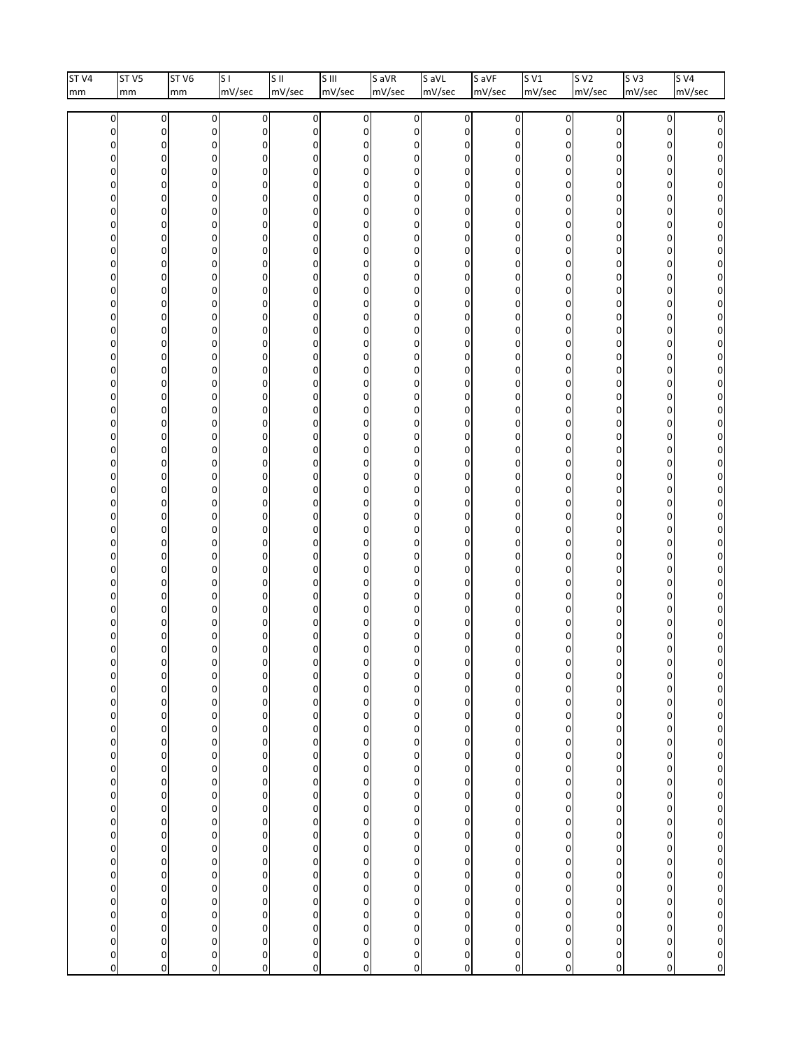| ST <sub>V4</sub> | ST <sub>V5</sub>                                                                                                                                                                                                                       | ST <sub>V6</sub>                                                                                                                                                                                                                                                                                                                                                                                                                                                                                                                     | $\overline{\mathsf{s}}$                                                                                                                                                                                                                                                                                                                     | $\overline{\mathsf{S}}$ II                                                                                                                                                                                                                                                                                                                                                                                                                                                                                                                                                                                                                                                                                                                                                 | $\overline{\text{S}^{\text{III}}}$                                                                                                                                                                                                                                                                                                                                                                                                                                                                                                                                                                                                                                                                                                                                                                                                                                                                                                                                                           |                                                                                                                                                                                                                                            | $S$ aVR                                                                                                                                                                                                                                                                                                                                                                                                                                                                                                                                                                   | $\sqrt{\frac{1}{10}}$                                                                                                                                                                                                                                                                                                                                                                                                                                                                                                                                                                                                                                                                           | S aVF                                                                                                                                                                                                                                                                                                                                                                                                                        | SVI                                                                                                                                                                                                                                                                                                                                                                                                                                                                                                                                                                                                                                                             | S <sub>V2</sub>                                                                                                                                                                                                                                                                                                                                                                                                                                                                                                                                                                                                    | $s\overline{v}$                                                                                                                                                                                                                                                                                                                                                                                                                                                                                                                                                   | $s$ v4                                                                                                                                                                                                                                |
|------------------|----------------------------------------------------------------------------------------------------------------------------------------------------------------------------------------------------------------------------------------|--------------------------------------------------------------------------------------------------------------------------------------------------------------------------------------------------------------------------------------------------------------------------------------------------------------------------------------------------------------------------------------------------------------------------------------------------------------------------------------------------------------------------------------|---------------------------------------------------------------------------------------------------------------------------------------------------------------------------------------------------------------------------------------------------------------------------------------------------------------------------------------------|----------------------------------------------------------------------------------------------------------------------------------------------------------------------------------------------------------------------------------------------------------------------------------------------------------------------------------------------------------------------------------------------------------------------------------------------------------------------------------------------------------------------------------------------------------------------------------------------------------------------------------------------------------------------------------------------------------------------------------------------------------------------------|----------------------------------------------------------------------------------------------------------------------------------------------------------------------------------------------------------------------------------------------------------------------------------------------------------------------------------------------------------------------------------------------------------------------------------------------------------------------------------------------------------------------------------------------------------------------------------------------------------------------------------------------------------------------------------------------------------------------------------------------------------------------------------------------------------------------------------------------------------------------------------------------------------------------------------------------------------------------------------------------|--------------------------------------------------------------------------------------------------------------------------------------------------------------------------------------------------------------------------------------------|---------------------------------------------------------------------------------------------------------------------------------------------------------------------------------------------------------------------------------------------------------------------------------------------------------------------------------------------------------------------------------------------------------------------------------------------------------------------------------------------------------------------------------------------------------------------------|-------------------------------------------------------------------------------------------------------------------------------------------------------------------------------------------------------------------------------------------------------------------------------------------------------------------------------------------------------------------------------------------------------------------------------------------------------------------------------------------------------------------------------------------------------------------------------------------------------------------------------------------------------------------------------------------------|------------------------------------------------------------------------------------------------------------------------------------------------------------------------------------------------------------------------------------------------------------------------------------------------------------------------------------------------------------------------------------------------------------------------------|-----------------------------------------------------------------------------------------------------------------------------------------------------------------------------------------------------------------------------------------------------------------------------------------------------------------------------------------------------------------------------------------------------------------------------------------------------------------------------------------------------------------------------------------------------------------------------------------------------------------------------------------------------------------|--------------------------------------------------------------------------------------------------------------------------------------------------------------------------------------------------------------------------------------------------------------------------------------------------------------------------------------------------------------------------------------------------------------------------------------------------------------------------------------------------------------------------------------------------------------------------------------------------------------------|-------------------------------------------------------------------------------------------------------------------------------------------------------------------------------------------------------------------------------------------------------------------------------------------------------------------------------------------------------------------------------------------------------------------------------------------------------------------------------------------------------------------------------------------------------------------|---------------------------------------------------------------------------------------------------------------------------------------------------------------------------------------------------------------------------------------|
| mm               | mm                                                                                                                                                                                                                                     | mm                                                                                                                                                                                                                                                                                                                                                                                                                                                                                                                                   | mV/sec                                                                                                                                                                                                                                                                                                                                      | mV/sec                                                                                                                                                                                                                                                                                                                                                                                                                                                                                                                                                                                                                                                                                                                                                                     | mV/sec                                                                                                                                                                                                                                                                                                                                                                                                                                                                                                                                                                                                                                                                                                                                                                                                                                                                                                                                                                                       |                                                                                                                                                                                                                                            | mV/sec                                                                                                                                                                                                                                                                                                                                                                                                                                                                                                                                                                    | mV/sec                                                                                                                                                                                                                                                                                                                                                                                                                                                                                                                                                                                                                                                                                          | mV/sec                                                                                                                                                                                                                                                                                                                                                                                                                       | mV/sec                                                                                                                                                                                                                                                                                                                                                                                                                                                                                                                                                                                                                                                          | mV/sec                                                                                                                                                                                                                                                                                                                                                                                                                                                                                                                                                                                                             | mV/sec                                                                                                                                                                                                                                                                                                                                                                                                                                                                                                                                                            | mV/sec                                                                                                                                                                                                                                |
|                  | 0<br>0<br>0<br>0<br>0<br>0<br>0<br>0<br>0<br>0<br>0<br>0<br>0<br>0<br>0<br>0<br>0<br>0<br>0<br>0<br>0<br>0<br>0<br>0<br>0<br>0<br>0<br>0<br>0<br>0<br>0<br>0<br>0<br>0<br>0<br>0<br>0<br>0<br>0<br>0<br>0<br>0000000000000000000000000 | 0<br>$\pmb{0}$<br>$\mathbf 0$<br>$\mathbf 0$<br>0<br>$\Omega$<br>$\mathbf 0$<br>0<br>$\mathbf 0$<br>$\mathbf 0$<br>0<br>$\mathbf 0$<br>$\mathbf 0$<br>0<br>$\mathbf 0$<br>$\mathbf 0$<br>0<br>$\mathbf 0$<br>$\mathbf 0$<br>0<br>$\mathbf 0$<br>$\mathbf 0$<br>$\mathbf 0$<br>$\mathbf 0$<br>$\mathbf 0$<br>0<br>0<br>$\mathbf 0$<br>0<br>$\mathbf 0$<br>$\mathbf 0$<br>0<br>0<br>$\mathbf 0$<br>$\mathbf 0$<br>$\mathbf 0$<br>$\mathbf 0$<br>0<br>0<br>C<br>0<br>00000000000000000000<br>$\begin{array}{c} 0 \\ 0 \\ 0 \end{array}$ | 0<br>0<br>0<br>0<br>0<br>0<br>0<br>0<br>0<br>0<br>0<br>0<br>0<br>0<br>0<br>0<br>0<br>0<br>0<br>0<br>0<br>0<br>0<br>0<br>0<br>0<br>0<br>0<br>0<br>0<br>0<br>0<br>$\pmb{0}$<br>0<br>0<br>0<br>0<br>0<br>0<br>0<br>0<br>0<br>$\begin{array}{c} 0 \\ 0 \end{array}$<br>0000000000000000<br>$\mathbf{0}$<br>$\begin{matrix} 0 \\ 0 \end{matrix}$ | $\mathbf 0$<br>$\pmb{0}$<br>$\mathbf 0$<br>$\mathbf 0$<br>0<br>0<br>$\mathbf 0$<br>$\pmb{0}$<br>$\mathbf 0$<br>$\mathbf 0$<br>0<br>$\mathbf 0$<br>$\mathbf 0$<br>0<br>$\mathbf 0$<br>$\mathbf 0$<br>0<br>0<br>$\mathbf 0$<br>0<br>$\mathbf 0$<br>$\mathbf 0$<br>0<br>0<br>$\mathbf 0$<br>$\pmb{0}$<br>$\pmb{0}$<br>$\mathbf 0$<br>0<br>$\mathbf 0$<br>$\mathbf 0$<br>$\pmb{0}$<br>$\pmb{0}$<br>$\mathbf 0$<br>0<br>0<br>$\mathbf 0$<br>0<br>0<br>$\mathbf 0$<br>0<br>0<br>$\begin{matrix} 0 \\ 0 \end{matrix}$<br>$\begin{array}{c}\n0 \\ 0 \\ 0\n\end{array}$<br>$\begin{smallmatrix}0\0\0\end{smallmatrix}$<br>$\begin{smallmatrix}0\0\0\end{smallmatrix}$<br>0 <sub>0</sub><br>$\begin{array}{c} 0 \\ 0 \\ 0 \end{array}$<br>$\begin{array}{c} 0 \\ 0 \\ 0 \end{array}$ | $\boldsymbol{0}$<br>$\pmb{0}$<br>$\overline{0}$<br>$\mathbf{0}$<br>0<br>$\mathbf{0}$<br>$\mathbf{0}$<br>0<br>$\overline{0}$<br>$\mathbf{0}$<br>0<br>$\overline{0}$<br>$\mathbf{0}$<br>0<br>0<br>$\mathbf{0}$<br>0<br>$\mathbf{0}$<br>$\mathbf{0}$<br>0<br>0<br>$\mathbf{0}$<br>0<br>$\mathbf{0}$<br>$\mathbf{0}$<br>$\overline{0}$<br>$\mathbf{0}$<br>$\overline{0}$<br>$\overline{0}$<br>$\mathbf{0}$<br>$\mathbf{0}$<br>$\overline{0}$<br>0<br>$\overline{0}$<br>$\mathbf{0}$<br>$\mathbf{0}$<br>$\mathbf{0}$<br>$\mathbf{0}$<br>$\mathbf{0}$<br>0<br>0<br>$\pmb{0}$<br>$\pmb{0}$<br>$\mathbf{0}$<br>$\mathbf 0$<br>$\mathbf 0$<br>$\begin{matrix} 0 \\ 0 \end{matrix}$<br>$\mathbf 0$<br>$\begin{smallmatrix}0\0\0\end{smallmatrix}$<br>$\pmb{0}$<br>$\begin{smallmatrix}0\0\0\end{smallmatrix}$<br>$\mathbf 0$<br>$\mathbf{0}$<br>$\begin{smallmatrix}0\0\0\end{smallmatrix}$<br>$\mathbf{0}$<br>$\mathbf{0}$<br>$\mathbf 0$<br>$\boldsymbol{0}$<br>$\begin{matrix} 0 \\ 0 \end{matrix}$ | 0<br>0<br>0<br>0<br>0<br>0<br>0<br>0<br>0<br>0<br>0<br>0<br>0<br>0<br>0<br>0<br>0<br>0<br>0<br>0<br>0<br>0<br>0<br>0<br>0<br>0<br>0<br>0<br>0<br>0<br>0<br>0<br>0<br>0<br>0<br>0<br>0<br>0<br>0<br>0<br>0<br>0<br>000000000000000000000000 | 0<br>0<br>0<br>0<br>0<br>0<br>0<br>0<br>0<br>0<br>0<br>0<br>0<br>0<br>0<br>0<br>0<br>0<br>0<br>0<br>0<br>0<br>0<br>0<br>0<br>0<br>0<br>0<br>0<br>0<br>$\mathbf 0$<br>0<br>0<br>0<br>0<br>0<br>0<br>0<br>0<br>0<br>0<br>0<br>$\begin{bmatrix} 0 \\ 0 \end{bmatrix}$<br>$\begin{array}{c}\n0 \\ 0 \\ 0 \\ 0\n\end{array}$<br>$\begin{matrix} 0 \\ 0 \\ 0 \end{matrix}$<br>$\begin{matrix} 0 \\ 0 \\ 0 \end{matrix}$<br>$\begin{matrix} 0 \\ 0 \\ 0 \end{matrix}$<br>$\begin{matrix} 0 \\ 0 \\ 0 \end{matrix}$<br>$\boldsymbol{0}$<br>$\begin{bmatrix} 0 \\ 0 \end{bmatrix}$ | $\sigma$<br>$\overline{0}$<br>0<br>0<br>0<br>0<br>0<br>$\overline{0}$<br>0<br>0<br>0<br>0<br>0<br>$\overline{0}$<br>$\overline{0}$<br>0<br>$\overline{0}$<br>0<br>0<br>$\overline{0}$<br>0<br>0<br>$\overline{0}$<br>0<br>0<br>$\overline{0}$<br>0<br>0<br>$\overline{0}$<br>0<br>0<br>$\overline{0}$<br>0<br>0<br>$\overline{0}$<br>0<br>0<br>$\overline{0}$<br>0<br>0<br>$\overline{0}$<br>$\begin{bmatrix} 0 \\ 0 \end{bmatrix}$<br>$\begin{array}{c}\n0 \\ 0 \\ 0 \\ 0\n\end{array}$<br>$\begin{array}{c}\n0 \\ 0 \\ 0 \\ 0\n\end{array}$<br>$\begin{matrix} 0 \\ 0 \\ 0 \end{matrix}$<br>$\begin{matrix} 0 \\ 0 \\ 0 \end{matrix}$<br>$\mathbf{0}$<br>$\begin{matrix} 0 \\ 0 \end{matrix}$ | $\boldsymbol{0}$<br>$\pmb{0}$<br>$\mathbf 0$<br>0<br>0<br>0<br>0<br>$\pmb{0}$<br>0<br>0<br>$\mathbf 0$<br>0<br>0<br>$\pmb{0}$<br>$\mathbf 0$<br>0<br>$\pmb{0}$<br>0<br>0<br>$\pmb{0}$<br>0<br>0<br>$\pmb{0}$<br>0<br>0<br>$\pmb{0}$<br>0<br>0<br>$\pmb{0}$<br>0<br>0<br>$\pmb{0}$<br>0<br>0<br>$\pmb{0}$<br>0<br>0<br>$\pmb{0}$<br>0<br>0<br>$\pmb{0}$<br>00000000000000000000<br>$\begin{array}{c} 0 \\ 0 \\ 0 \end{array}$ | 0<br>0<br>0<br>0<br>0<br>0<br>0<br>0<br>0<br>0<br>0<br>0<br>0<br>$\mathbf 0$<br>0<br>0<br>$\mathbf{0}$<br>0<br>0<br>$\mathbf 0$<br>0<br>0<br>$\mathbf{0}$<br>0<br>0<br>$\mathbf 0$<br>0<br>$\Omega$<br>$\Omega$<br>0<br>0<br>$\mathbf 0$<br>0<br>0<br>$\Omega$<br>0<br>0<br>$\mathbf 0$<br>0<br>0<br>$\mathbf 0$<br>$\Omega$<br>$\mathbf 0$<br>$\overline{0}$<br>$\overline{0}$<br>$\mathbf 0$<br>$\circ$<br>$\mathbf{0}$<br>$\mathbf 0$<br>$\circ$<br>$\mathbf{0}$<br>$\pmb{0}$<br>$\circ$<br>$\mathbf{0}$<br>$\pmb{0}$<br>$\circ$<br>$\mathbf{0}$<br>$\bf{0}$<br>$\circ$<br>$\mathbf{0}$<br>$\pmb{0}$<br>$\mathbf 0$<br>$\overline{0}$<br>$\bf{0}$<br>$\circ$ | $\pmb{0}$<br>0<br>0<br>0<br>0<br>0<br>0<br>0<br>0<br>0<br>0<br>0<br>0<br>0<br>0<br>0<br>0<br>0<br>0<br>0<br>0<br>0<br>0<br>0<br>0<br>0<br>0<br>0<br>0<br>0<br>0<br>0<br>0<br>0<br>0<br>0<br>0<br>0<br>0<br>0<br>0<br>0<br> 0 <br>$\mathbf{0}$<br>$\begin{bmatrix} 0 \\ 0 \end{bmatrix}$<br>$\circ$<br>$\begin{bmatrix} 0 \\ 0 \end{bmatrix}$<br>$\circ$<br>$\begin{bmatrix} 0 \\ 0 \end{bmatrix}$<br>$\circ$<br>$\begin{bmatrix} 0 \\ 0 \end{bmatrix}$<br>$\circ$<br>$\begin{bmatrix} 0 \\ 0 \\ 0 \end{bmatrix}$<br>$\begin{bmatrix} 0 \\ 0 \\ 0 \end{bmatrix}$<br>$\circ$<br>$\begin{matrix} 0 \\ 0 \end{matrix}$ | $\pmb{0}$<br>$\pmb{0}$<br>$\mathbf 0$<br>0<br>0<br>$\mathbf 0$<br>$\mathbf 0$<br>0<br>$\mathbf 0$<br>$\mathbf 0$<br>0<br>$\mathbf 0$<br>$\mathbf 0$<br>0<br>$\mathbf 0$<br>$\mathbf 0$<br>0<br>0<br>0<br>0<br>0<br>0<br>0<br>$\Omega$<br>$\mathbf 0$<br>0<br>$\mathbf 0$<br>$\mathbf 0$<br>0<br>$\mathbf 0$<br>$\mathbf 0$<br>0<br>$\mathbf 0$<br>$\mathbf 0$<br>0<br>0<br>$\mathbf 0$<br>0<br>$\Omega$<br>O<br>0<br>$\bf{0}$<br>$\mathbf 0$<br>$\begin{matrix} 0 \\ 0 \end{matrix}$<br>0000000000000<br>$\mathbf 0$<br>$\begin{matrix} 0 \\ 0 \\ 0 \end{matrix}$ | 0<br>0<br>0<br>0<br>0<br>0<br>0<br>0<br>0<br>0<br>0<br>0<br>0<br>0<br>0<br>0<br>0<br>0<br>0<br>0<br>0<br>0<br>0<br>0<br>0<br>0<br>0<br>0<br>0<br>0<br>0<br>0<br>0<br>0<br>0<br>0<br>0<br>0<br>0<br>0<br>0<br>000000000000000000000000 |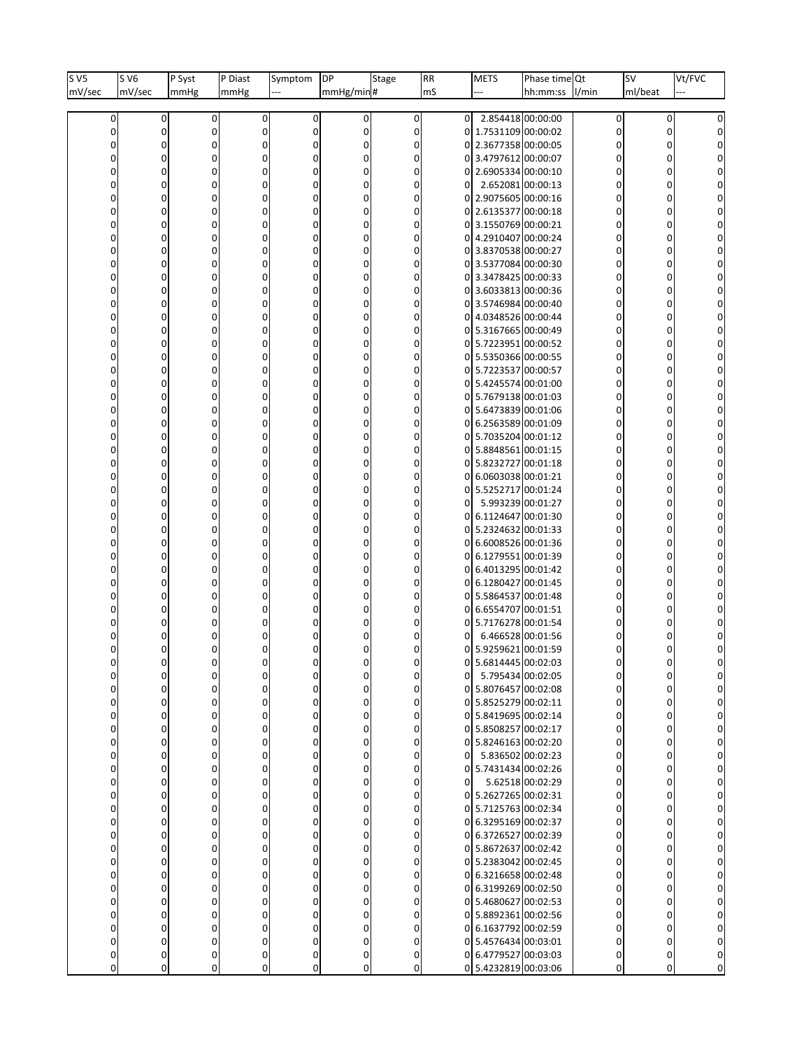| $s_{V5}$       | S V6        | P Syst         | P Diast     | Symptom      | DP               | Stage          | RR             | <b>METS</b>                               | Phase time Qt    |                | <b>SV</b> | Vt/FVC       |
|----------------|-------------|----------------|-------------|--------------|------------------|----------------|----------------|-------------------------------------------|------------------|----------------|-----------|--------------|
| mV/sec         | mV/sec      | mmHg           | mmHg        |              | mmHg/min#        |                | mS             |                                           | hh:mm:ss         | I/min          | ml/beat   |              |
| $\overline{0}$ | 0           | 0              | 0           | 0            | 0                | 0              | $\Omega$       | 2.854418 00:00:00                         |                  | 0              | 0         |              |
| 0              | 0           | 0              | 0           | 0            | 0                | 0              |                | 0 1.7531109 00:00:02                      |                  | 0              | 0         | 0            |
| 0              | $\mathbf 0$ | 0              | 0           | 0            | 0                | 0              |                | 0 2.3677358 00:00:05                      |                  | 0              | 0         | 0            |
| 0              | $\mathbf 0$ | ŋ              | 0           | 0            | 0                | 0              |                | 0 3.4797612 00:00:07                      |                  | 0              | O         | 0            |
| 0              | 0           | Ω              | 0           | 0            | 0                | 0              |                | 0 2.6905334 00:00:10                      |                  | 0              | 0         | 0            |
| 0              | $\mathbf 0$ |                | 0           | 0            | $\mathbf 0$      | 0              | $\overline{0}$ | 2.652081 00:00:13                         |                  | 0              | 0         | 0            |
| 0              | $\mathbf 0$ |                | $\mathbf 0$ | 0            | 0                | 0              |                | 0 2.9075605 00:00:16                      |                  | $\mathbf 0$    | 0         |              |
| 0              | 0           | 0              | 0           | 0            | 0                | 0              |                | 0 2.6135377 00:00:18                      |                  | 0              | 0         | 0            |
| 0              | $\mathbf 0$ | 0              | 0           | 0            | 0                | 0              |                | 0 3.1550769 00:00:21                      |                  | 0              | 0         | 0            |
| 0              | $\mathbf 0$ |                | $\mathbf 0$ | 0            | 0                | 0              |                | 0 4.2910407 00:00:24                      |                  | 0              | 0         | 0            |
| 0              | 0           | 0              | 0           | 0            | 0                | 0              |                | 0 3.8370538 00:00:27                      |                  | 0              | 0         | 0            |
| 0              | $\mathbf 0$ |                | 0           | 0            | 0                | 0              |                | 0 3.5377084 00:00:30                      |                  | 0              | 0         | 0            |
| 0              | $\mathbf 0$ |                | $\mathbf 0$ | 0            | 0                | $\mathbf 0$    |                | 0 3.3478425 00:00:33                      |                  | $\mathbf 0$    | 0         |              |
| 0              | 0           | 0              | 0           | 0            | 0                | 0              |                | 0 3.6033813 00:00:36                      |                  | 0              | 0         | 0            |
| 0              | $\mathbf 0$ | 0              | 0           | 0            | 0                | 0              |                | 0 3.5746984 00:00:40                      |                  | 0              | 0         | 0            |
| 0              | $\mathbf 0$ |                | 0           | 0            | 0                | 0              |                | 0 4.0348526 00:00:44                      |                  | 0              | 0         |              |
| 0              | 0           | 0              | 0           | 0            | 0                | 0              |                | 0 5.3167665 00:00:49                      |                  | 0              | 0         | 0            |
| 0              | $\mathbf 0$ |                | 0           | 0            | 0                | 0              |                | 0 5.7223951 00:00:52                      |                  | 0              |           | 0            |
| 0              | $\mathbf 0$ | U              | $\mathbf 0$ | 0            | 0                | 0              |                | 0 5.5350366 00:00:55                      |                  | $\mathbf 0$    | 0         |              |
| 0              | 0           | 0              | 0           | 0            | 0                | 0              |                | 0 5.7223537 00:00:57                      |                  | 0              | 0         | 0            |
| 0              | $\mathbf 0$ | 0              | 0           | 0            | 0                | 0              |                | 0 5.4245574 00:01:00                      |                  | 0              |           | 0            |
| 0              | $\mathbf 0$ | 0              | $\mathbf 0$ | 0            | 0                | 0              |                | 0 5.7679138 00:01:03                      |                  | 0              | 0         | 0            |
| 0              | 0           | 0              | 0           | 0            | 0                | 0              |                | 0 5.6473839 00:01:06                      |                  | 0              | 0         | 0            |
| 0              | $\mathbf 0$ |                | 0           | 0            | 0                | 0              |                | 0 6.2563589 00:01:09                      |                  | 0              |           | 0            |
| 0              | $\mathbf 0$ |                | $\mathbf 0$ | 0            | $\mathbf 0$      | 0              |                | 0 5.7035204 00:01:12                      |                  | $\mathbf 0$    | 0         |              |
| 0              | 0           | 0              | 0           | 0            | 0                | 0              |                | 0 5.8848561 00:01:15                      |                  | 0              | 0         |              |
| 0              | $\mathbf 0$ | ŋ              | 0           | 0            | 0                | 0              |                | 0 5.8232727 00:01:18                      |                  | 0              |           | 0            |
| 0              | $\mathbf 0$ |                | $\mathbf 0$ | 0            | 0                | 0              |                | 0 6.0603038 00:01:21                      |                  | $\mathbf 0$    | 0         |              |
| 0              | 0           | 0              | 0           | 0            | 0                | 0              |                | 0 5.5252717 00:01:24                      |                  | 0              | 0         | 0            |
| 0              | $\mathbf 0$ |                | 0           | 0            | 0                | 0              | 0              | 5.993239 00:01:27                         |                  | 0              |           | 0            |
| 0              | $\mathbf 0$ |                | $\mathbf 0$ | 0            | 0                | 0              | ΩI             | 6.1124647 00:01:30                        |                  | $\mathbf 0$    | 0         |              |
| 0              | 0           | 0              | 0           | 0            | 0                | 0              | 01             | 5.2324632 00:01:33                        |                  | 0              | 0         | 0            |
| 0              | $\mathbf 0$ | ŋ              | 0           | 0            | 0                | 0              |                | 0 6.6008526 00:01:36                      |                  | 0              |           | 0            |
| 0              | $\mathbf 0$ |                | $\mathbf 0$ | 0            | 0                | 0              |                | 0 6.1279551 00:01:39                      |                  | $\mathbf 0$    | n         |              |
| 0              | 0           | 0              | 0           | 0            | 0                | 0              |                | 0 6.4013295 00:01:42                      |                  | 0              | 0         | 0            |
|                | $\mathbf 0$ |                | 0           | 0            | 0                | 0              |                | 0 6.1280427 00:01:45                      |                  | 0              |           |              |
| 0              | $\mathbf 0$ |                | $\mathbf 0$ | 0            | 0                | 0              |                | 0 5.5864537 00:01:48                      |                  | $\mathbf 0$    |           |              |
| 0              | 0<br>0      | 0              | 0           | 0<br>0       | 0                | 0              | 01             | 6.6554707 00:01:51                        |                  | 0              | 0         |              |
|                |             |                | 0<br>O      |              | 0<br>0           | 0<br>0         | 0              | 0 5.7176278 00:01:54<br>6.466528 00:01:56 |                  | 0<br>0         |           |              |
| 0              | 0           |                | 0           | 0            | 0                | $\overline{0}$ |                | 0 5.9259621 00:01:59                      |                  | 0              |           | 0            |
|                |             |                |             |              |                  | U              | οI             | 5.6814445 00:02:03                        |                  |                |           |              |
| 0              | 0           |                | 0           | 0            | 0                | 0              | 01             | 5.795434 00:02:05                         |                  | 0              |           |              |
| $\overline{0}$ | 0           | 0              | 0           | $\mathbf{0}$ | 0                | $\Omega$       |                | 0 5.8076457 00:02:08                      |                  | $\mathbf{0}$   | $\Omega$  | 0            |
| 0              | $\mathbf 0$ | 0              | 0           | O            | 0                | 0              |                | 0 5.8525279 00:02:11                      |                  | $\mathbf{0}$   |           | 0            |
| $\Omega$       | $\mathbf 0$ | 0              | 0           | 0            | 0                | $\Omega$       |                | 0 5.8419695 00:02:14                      |                  | $\Omega$       |           | 0            |
| $\overline{0}$ | 0           | 0              | 0           | $\mathbf{0}$ | $\mathbf 0$      | $\Omega$       |                | 0 5.8508257 00:02:17                      |                  | $\overline{0}$ | 0         | 0            |
| 0              | $\mathbf 0$ |                | 0           | 0            | 0                | $\Omega$       |                | 0 5.8246163 00:02:20                      |                  | $\mathbf{0}$   |           | 0            |
| $\Omega$       | $\mathbf 0$ |                | $\Omega$    | 0            | $\Omega$         |                | ΩI             | 5.836502 00:02:23                         |                  | $\Omega$       |           | 0            |
| $\overline{0}$ | 0           | 0              | 0           | $\Omega$     | $\mathbf 0$      | $\Omega$       |                | 0 5.7431434 00:02:26                      |                  | $\mathbf{0}$   | 0         | 0            |
| 0              | 0           |                | 0           | 0            | 0                | $\Omega$       | 01             |                                           | 5.62518 00:02:29 | 0              |           | $\mathbf{0}$ |
| 0              | $\mathbf 0$ |                | $\Omega$    | 0            | $\Omega$         |                |                | 0 5.2627265 00:02:31                      |                  | $\Omega$       |           | 0            |
| $\overline{0}$ | 0           | 0              | 0           | $\mathbf{0}$ | $\mathbf 0$      | $\Omega$       |                | 0 5.7125763 00:02:34                      |                  | $\mathbf{0}$   | 0         | 0            |
| 0              | $\mathbf 0$ |                | 0           | 0            | 0                | $\Omega$       |                | 0 6.3295169 00:02:37                      |                  | 0              |           | $\mathbf{0}$ |
| $\Omega$       | $\mathbf 0$ | 0              | $\Omega$    | O            | $\Omega$         |                |                | 0 6.3726527 00:02:39                      |                  | $\Omega$       |           | 0            |
| $\overline{0}$ | 0           | 0              | 0           | $\Omega$     | 0                | $\Omega$       |                | 0 5.8672637 00:02:42                      |                  | $\mathbf{0}$   | 0         | 0            |
|                | $\mathbf 0$ |                | 0           | 0            | 0                | $\Omega$       |                | 0 5.2383042 00:02:45                      |                  | 0              |           | 0            |
| 0              | $\mathbf 0$ | 0              | 0           | O            | 0                |                |                | 0 6.3216658 00:02:48                      |                  | 0              |           | 0            |
| $\overline{0}$ | 0           | 0              | 0           | $\Omega$     | $\mathbf 0$      | $\Omega$       |                | 0 6.3199269 00:02:50                      |                  | $\mathbf{0}$   | 0         | 0            |
|                | $\mathbf 0$ |                | 0           | 0            | 0                | $\Omega$       |                | 0 5.4680627 00:02:53                      |                  | 0              |           | 0            |
|                | $\Omega$    | 0              | 0           | O            | 0                |                |                | 0 5.8892361 00:02:56                      |                  | $\Omega$       |           | 0            |
| $\Omega$       | $\mathbf 0$ | 0              | 0           | $\Omega$     | 0                | $\Omega$       |                | 0 6.1637792 00:02:59                      |                  | $\mathbf{0}$   | 0         | 0            |
|                | $\mathbf 0$ | 0              | 0           | 0            | 0                |                |                | 0 5.4576434 00:03:01                      |                  | 0              | 0         | 0            |
| 0              | 0           | 0              | 0           | 0            | $\boldsymbol{0}$ | 0              |                | 0 6.4779527 00:03:03                      |                  | 0              | 0         | 0            |
| 0              | 0           | $\overline{0}$ | 0           | 0            | 0                | 0              |                | 0 5.4232819 00:03:06                      |                  | 0              | 0         | 0            |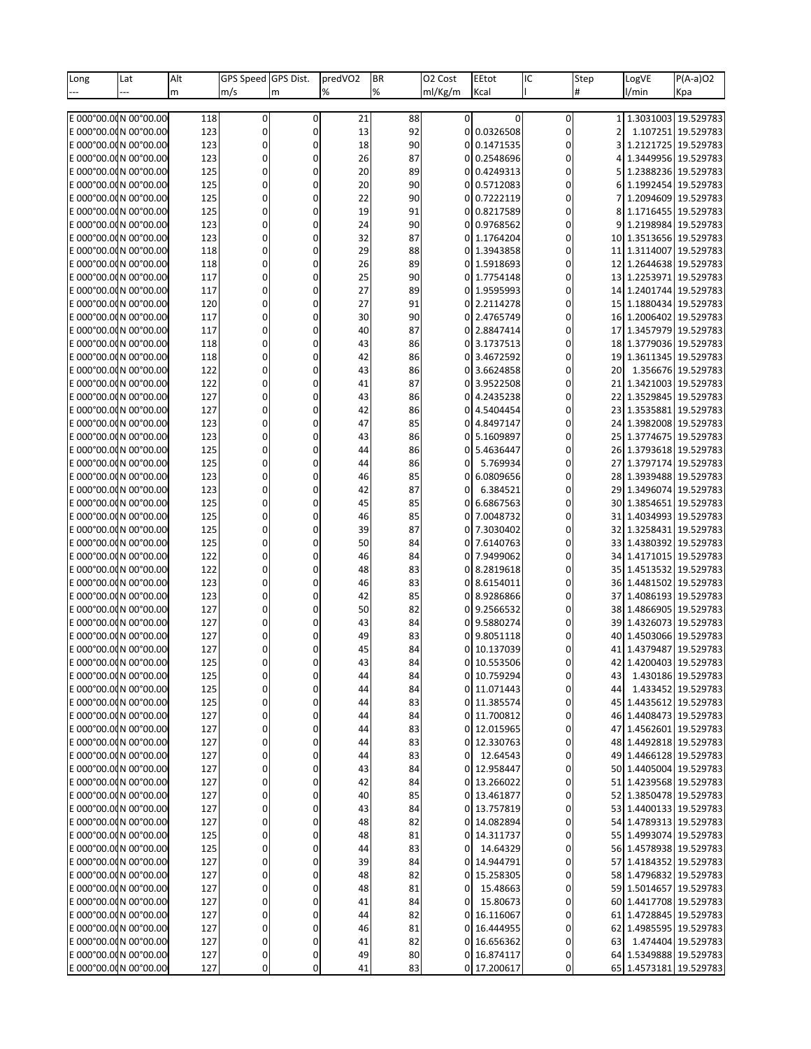| Long | Lat                     | Alt | GPS Speed GPS Dist. |          | predVO <sub>2</sub> | BR | O <sub>2</sub> Cost | EEtot       | IC        | Step | LogVE                  | P(A-a)O2               |
|------|-------------------------|-----|---------------------|----------|---------------------|----|---------------------|-------------|-----------|------|------------------------|------------------------|
|      |                         | m   | m/s                 | m        | %                   | %  | ml/Kg/m             | Kcal        |           | #    | 1/min                  | Kpa                    |
|      |                         |     |                     |          |                     |    |                     |             |           |      |                        |                        |
|      | E 000°00.0¢N 00°00.00   | 118 | 0                   | 0        | 21                  | 88 | $\overline{0}$      | 0           | $\pmb{0}$ |      | 1 1.3031003 19.529783  |                        |
|      | E 000°00.00N 00°00.00   | 123 | 0                   | 0        | 13                  | 92 |                     | 0 0.0326508 | 0         | 2    |                        | 1.107251 19.529783     |
|      | E 000°00.00N 00°00.00   | 123 | 0                   | 0        | 18                  | 90 | ΩI                  | 0.1471535   | 0         |      |                        | 1.2121725 19.529783    |
|      | E 000°00.00N 00°00.00   |     |                     |          |                     |    |                     | 0.2548696   |           |      |                        | 1.3449956 19.529783    |
|      |                         | 123 | 0                   | 0        | 26                  | 87 | 01                  |             | 0         | 4    |                        |                        |
|      | E 000°00.00N 00°00.00   | 125 | 0                   | 0        | 20                  | 89 |                     | 0 0.4249313 | 0         | 5    |                        | 1.2388236 19.529783    |
|      | E 000°00.00N 00°00.00   | 125 | 0                   |          | 20                  | 90 | ΩI                  | 0.5712083   | 0         | 6    |                        | 1.1992454 19.529783    |
|      | E 000°00.00N 00°00.00   | 125 | 0                   | 0        | 22                  | 90 | $\Omega$            | 0.7222119   | 0         | 7    |                        | 1.2094609 19.529783    |
|      | E 000°00.00N 00°00.00   | 125 | 0                   |          | 19                  | 91 |                     | 0 0.8217589 | 0         | 8    |                        | 1.1716455 19.529783    |
|      | E 000°00.00N 00°00.00   | 123 | 0                   |          | 24                  | 90 | ΩI                  | 0.9768562   | 0         | ٩    |                        | 1.2198984 19.529783    |
|      | E 000°00.00N 00°00.00   | 123 | 0                   | 0        | 32                  | 87 |                     | 0 1.1764204 | 0         |      | 10 1.3513656 19.529783 |                        |
|      | E 000°00.00N 00°00.00   | 118 | 0                   | ſ        | 29                  | 88 |                     | 0 1.3943858 | 0         | 11   | 1.3114007 19.529783    |                        |
|      | E 000°00.00N 00°00.00   | 118 | 0                   |          | 26                  | 89 |                     | 0 1.5918693 | 0         | 12   | 1.2644638 19.529783    |                        |
|      | E 000°00.00N 00°00.00   |     |                     |          |                     | 90 |                     |             |           |      | 1.2253971 19.529783    |                        |
|      |                         | 117 | 0                   | 0        | 25                  |    | $\Omega$            | 1.7754148   | 0         | 13   |                        |                        |
|      | E 000°00.00N 00°00.00   | 117 | 0                   | C        | 27                  | 89 |                     | 0 1.9595993 | 0         | 14   |                        | 1.2401744 19.529783    |
|      | E 000°00.00N 00°00.00   | 120 | 0                   |          | 27                  | 91 |                     | 0 2.2114278 | 0         | 15   | 1.1880434 19.529783    |                        |
|      | E 000°00.00N 00°00.00   | 117 | 0                   | 0        | 30                  | 90 |                     | 0 2.4765749 | 0         |      | 16 1.2006402 19.529783 |                        |
|      | E 000°00.00N 00°00.00   | 117 | 0                   | 0        | 40                  | 87 |                     | 0 2.8847414 | 0         | 17   |                        | 1.3457979 19.529783    |
|      | E 000°00.00N 00°00.00   | 118 | 0                   |          | 43                  | 86 | ΩI                  | 3.1737513   | 0         |      | 18 1.3779036 19.529783 |                        |
|      | E 000°00.00N 00°00.00   | 118 | 0                   | 0        | 42                  | 86 | $\Omega$            | 3.4672592   | 0         | 19   | 1.3611345 19.529783    |                        |
|      | E 000°00.00N 00°00.00   | 122 | 0                   | 0        | 43                  | 86 | 01                  | 3.6624858   | 0         | 20   |                        | 1.356676 19.529783     |
|      | E 000°00.00N 00°00.00   | 122 | 0                   |          | 41                  | 87 | 01                  | 3.9522508   | 0         | 21   |                        | 1.3421003 19.529783    |
|      | E 000°00.00N 00°00.00   | 127 | 0                   | 0        | 43                  | 86 | $\Omega$            | 4.2435238   | 0         | 22   |                        | 1.3529845 19.529783    |
|      |                         |     |                     |          |                     |    |                     |             |           |      |                        |                        |
|      | E 000°00.00N 00°00.00   | 127 | 0                   | 0        | 42                  | 86 |                     | 0 4.5404454 | 0         | 23   |                        | 1.3535881 19.529783    |
|      | E 000°00.00N 00°00.00   | 123 | 0                   |          | 47                  | 85 | 01                  | 4.8497147   | 0         | 24   | 1.3982008 19.529783    |                        |
|      | E 000°00.00N 00°00.00   | 123 | 0                   | 0        | 43                  | 86 | $\Omega$            | 5.1609897   | 0         | 25   | 1.3774675 19.529783    |                        |
|      | E 000°00.00N 00°00.00   | 125 | 0                   | 0        | 44                  | 86 | 01                  | 5.4636447   | 0         |      | 26 1.3793618 19.529783 |                        |
|      | E 000°00.00N 00°00.00   | 125 | 0                   |          | 44                  | 86 | 0                   | 5.769934    | 0         | 27   |                        | 1.3797174 19.529783    |
|      | E 000°00.00N 00°00.00   | 123 | 0                   | 0        | 46                  | 85 | 0                   | 6.0809656   | 0         | 28   | 1.3939488 19.529783    |                        |
|      | E 000°00.00N 00°00.00   | 123 | 0                   |          | 42                  | 87 | 0                   | 6.384521    | 0         | 29   |                        | 1.3496074 19.529783    |
|      | E 000°00.00N 00°00.00   | 125 | 0                   |          | 45                  | 85 | 0                   | 6.6867563   | 0         | 30   | 1.3854651 19.529783    |                        |
|      |                         |     |                     |          |                     | 85 |                     |             |           |      |                        | 1.4034993 19.529783    |
|      | E 000°00.00N 00°00.00   | 125 | 0                   | 0        | 46                  |    | ΩI                  | 7.0048732   | 0         | 31   |                        |                        |
|      | E 000°00.00N 00°00.00   | 125 | 0                   |          | 39                  | 87 | 01                  | 7.3030402   | 0         | 32   | 1.3258431 19.529783    |                        |
|      | E 000°00.00N 00°00.00   | 125 | 0                   |          | 50                  | 84 |                     | 0 7.6140763 | 0         |      | 33 1.4380392 19.529783 |                        |
|      | E 000°00.00N 00°00.00   | 122 | 0                   | 0        | 46                  | 84 | ΩI                  | 7.9499062   | 0         | 341  | 1.4171015 19.529783    |                        |
|      | E 000°00.00N 00°00.00   | 122 | 0                   | 0        | 48                  | 83 | 01                  | 8.2819618   | 0         | 35   | 1.4513532 19.529783    |                        |
|      | E 000°00.0dN 00°00.00   | 123 | 0                   | $\Omega$ | 46                  | 83 | $\Omega$            | 8.6154011   | 0         | 36   |                        | 1.4481502 19.529783    |
|      | E 000°00.00N 00°00.00   | 123 | 0                   | 0        | 42                  | 85 | $\Omega$            | 8.9286866   | 0         | 37   |                        | 1.4086193 19.529783    |
|      | E 000°00.00N 00°00.00   | 127 | 0                   |          | 50                  | 82 |                     | 0 9.2566532 | 0         |      | 38 1.4866905 19.529783 |                        |
|      | E 000°00.00N 00°00.00   | 127 | 0                   | 0        | 43                  | 84 | 01                  | 9.5880274   | 0         | 39 l | 1.4326073 19.529783    |                        |
|      | E 000°00.00N 00°00.00   |     |                     |          |                     | 83 |                     |             | 0         | 40   |                        | 1.4503066 19.529783    |
|      |                         | 127 | 0                   |          | 49                  |    |                     | 9.8051118   |           |      | 1.4379487 19.529783    |                        |
|      | E 000°00.00N 00°00.00   | 127 | 0                   |          | 45                  | 84 |                     | 0 10.137039 | 0         | 41   |                        |                        |
|      | le ooo°oo.odn oo°oo.ool | 125 | 0                   |          | 43                  | 84 |                     | 0 10.553506 | $\Omega$  |      |                        | 42 1.4200403 19.529783 |
|      | E 000°00.0¢N 00°00.00   | 125 | 0                   | 0        | 44                  | 84 |                     | 0 10.759294 | 0         | 43   |                        | 1.430186 19.529783     |
|      | E 000°00.0¢N 00°00.00   | 125 | 0                   | 0        | 44                  | 84 |                     | 0 11.071443 | 0         | 44   |                        | 1.433452 19.529783     |
|      | lε 000°00.0dΝ 00°00.00  | 125 | 0                   | 0        | 44                  | 83 |                     | 0 11.385574 | 0         | 45   |                        | 1.4435612 19.529783    |
|      | E 000°00.00N 00°00.00   | 127 | 0                   | 0        | 44                  | 84 |                     | 0 11.700812 | 0         | 46   |                        | 1.4408473 19.529783    |
|      | E 000°00.0¢N 00°00.00   | 127 | 0                   | 0        | 44                  | 83 |                     | 0 12.015965 | 0         |      | 47 1.4562601 19.529783 |                        |
|      | E 000°00.00N 00°00.00   | 127 | 0                   | $\Omega$ | 44                  | 83 |                     | 0 12.330763 | 0         |      | 48 1.4492818 19.529783 |                        |
|      | E 000°00.00N 00°00.00   | 127 | 0                   | $\Omega$ | 44                  | 83 | 0                   | 12.64543    | 0         |      | 49 1.4466128 19.529783 |                        |
|      | E 000°00.0¢N 00°00.00   | 127 | 0                   | 0        | 43                  | 84 |                     | 0 12.958447 | 0         |      | 50 1.4405004 19.529783 |                        |
|      |                         |     |                     |          |                     |    |                     |             |           |      |                        |                        |
|      | E 000°00.00N 00°00.00   | 127 | 0                   | $\Omega$ | 42                  | 84 |                     | 0 13.266022 | 0         | 51   |                        | 1.4239568 19.529783    |
|      | E 000°00.00N 00°00.00   | 127 | 0                   | $\Omega$ | 40                  | 85 |                     | 0 13.461877 | 0         |      | 52 1.3850478 19.529783 |                        |
|      | E 000°00.00N 00°00.00   | 127 | 0                   | 0        | 43                  | 84 |                     | 0 13.757819 | 0         |      | 53 1.4400133 19.529783 |                        |
|      | E 000°00.00N 00°00.00   | 127 | 0                   | $\Omega$ | 48                  | 82 |                     | 0 14.082894 | 0         |      | 54 1.4789313 19.529783 |                        |
|      | E 000°00.00N 00°00.00   | 125 | 0                   | $\Omega$ | 48                  | 81 |                     | 0 14.311737 | 0         |      | 55 1.4993074 19.529783 |                        |
|      | E 000°00.0¢N 00°00.00   | 125 | 0                   | 0        | 44                  | 83 | $\Omega$            | 14.64329    | 0         |      | 56 1.4578938 19.529783 |                        |
|      | E 000°00.00N 00°00.00   | 127 | 0                   | $\Omega$ | 39                  | 84 |                     | 0 14.944791 | 0         |      | 57 1.4184352 19.529783 |                        |
|      | E 000°00.00N 00°00.00   | 127 | 0                   | $\Omega$ | 48                  | 82 |                     | 15.258305   | 0         |      | 58 1.4796832 19.529783 |                        |
|      | E 000°00.0¢N 00°00.00   | 127 | 0                   | 0        | 48                  | 81 | 0                   | 15.48663    | 0         |      | 59 1.5014657 19.529783 |                        |
|      |                         |     |                     |          |                     |    |                     |             |           |      |                        |                        |
|      | E 000°00.00N 00°00.00   | 127 | 0                   | $\Omega$ | 41                  | 84 | 0                   | 15.80673    | 0         |      | 60 1.4417708 19.529783 |                        |
|      | E 000°00.00N 00°00.00   | 127 | 0                   | $\Omega$ | 44                  | 82 |                     | 16.116067   | 0         | 61   | 1.4728845 19.529783    |                        |
|      | E 000°00.00N 00°00.00   | 127 | 0                   | 0        | 46                  | 81 |                     | 0 16.444955 | 0         |      | 62 1.4985595 19.529783 |                        |
|      | E 000°00.00N 00°00.00   | 127 | 0                   | $\Omega$ | 41                  | 82 |                     | 0 16.656362 | 0         | 63   |                        | 1.474404 19.529783     |
|      | E 000°00.00N 00°00.00   | 127 | 0                   | 0        | 49                  | 80 | 01                  | 16.874117   | 0         |      | 64 1.5349888 19.529783 |                        |
|      | E 000°00.0¢N 00°00.00   | 127 | 0                   | 0        | 41                  | 83 |                     | 0 17.200617 | 0         |      | 65 1.4573181 19.529783 |                        |